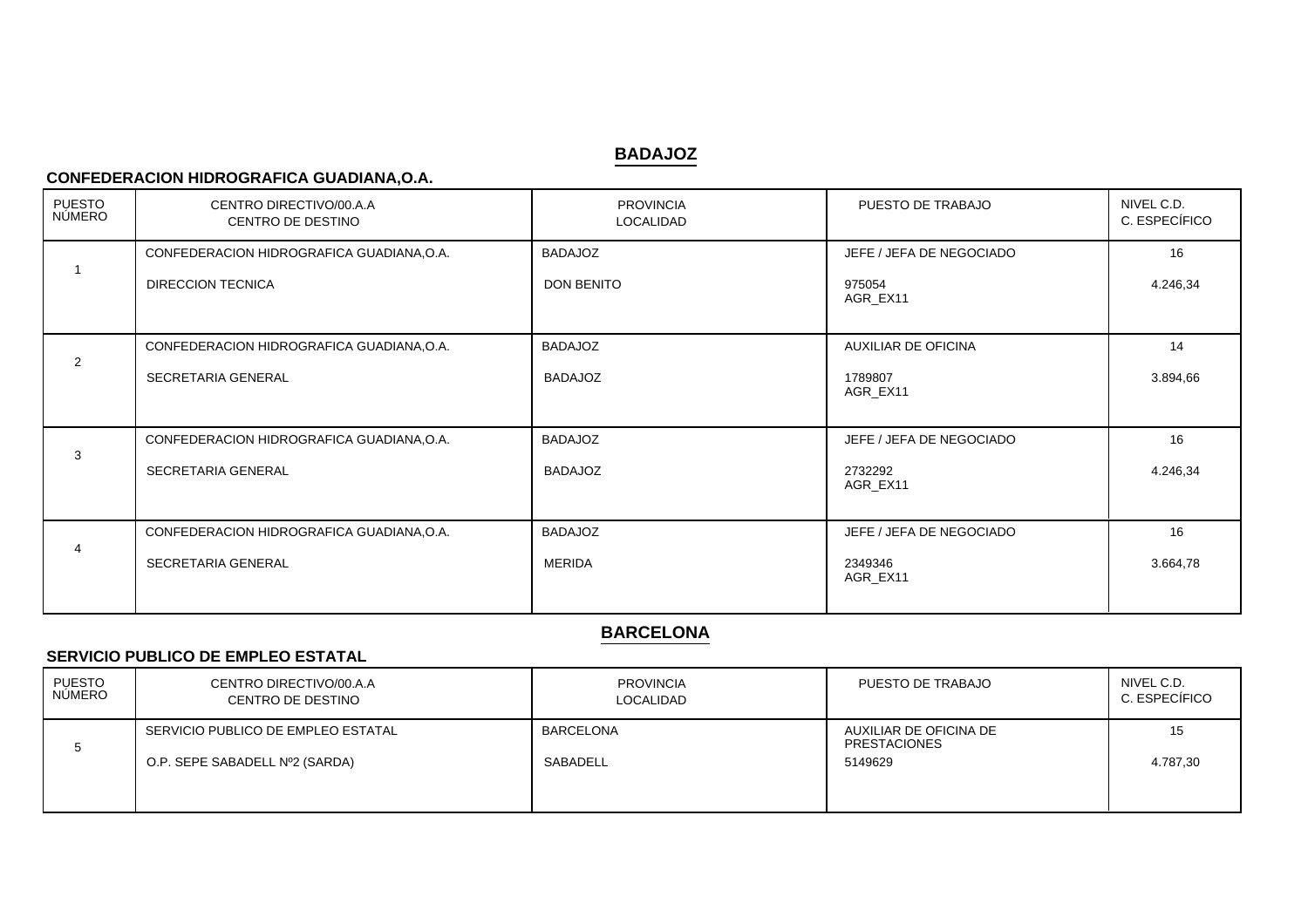# **BADAJOZ**

### **CONFEDERACION HIDROGRAFICA GUADIANA,O.A.**

| <b>PUESTO</b><br>NÚMERO | CENTRO DIRECTIVO/00.A.A<br>CENTRO DE DESTINO | <b>PROVINCIA</b><br>LOCALIDAD | PUESTO DE TRABAJO          | NIVEL C.D.<br>C. ESPECÍFICO |
|-------------------------|----------------------------------------------|-------------------------------|----------------------------|-----------------------------|
|                         | CONFEDERACION HIDROGRAFICA GUADIANA, O.A.    | <b>BADAJOZ</b>                | JEFE / JEFA DE NEGOCIADO   | 16                          |
|                         | <b>DIRECCION TECNICA</b>                     | <b>DON BENITO</b>             | 975054<br>AGR_EX11         | 4.246,34                    |
|                         | CONFEDERACION HIDROGRAFICA GUADIANA, O.A.    | <b>BADAJOZ</b>                | <b>AUXILIAR DE OFICINA</b> | 14                          |
| 2                       | SECRETARIA GENERAL                           | <b>BADAJOZ</b>                | 1789807<br>AGR_EX11        | 3.894,66                    |
|                         | CONFEDERACION HIDROGRAFICA GUADIANA, O.A.    | <b>BADAJOZ</b>                | JEFE / JEFA DE NEGOCIADO   | 16                          |
| 3                       | SECRETARIA GENERAL                           | <b>BADAJOZ</b>                | 2732292<br>AGR_EX11        | 4.246,34                    |
|                         | CONFEDERACION HIDROGRAFICA GUADIANA, O.A.    | <b>BADAJOZ</b>                | JEFE / JEFA DE NEGOCIADO   | 16                          |
|                         | SECRETARIA GENERAL                           | <b>MERIDA</b>                 | 2349346<br>AGR EX11        | 3.664,78                    |

# **BARCELONA**

#### **SERVICIO PUBLICO DE EMPLEO ESTATAL**

| PUESTO<br>NÚMERO | CENTRO DIRECTIVO/00.A.A<br>CENTRO DE DESTINO | <b>PROVINCIA</b><br>LOCALIDAD | PUESTO DE TRABAJO                             | NIVEL C.D.<br>C. ESPECÍFICO |
|------------------|----------------------------------------------|-------------------------------|-----------------------------------------------|-----------------------------|
|                  | SERVICIO PUBLICO DE EMPLEO ESTATAL           | <b>BARCELONA</b>              | AUXILIAR DE OFICINA DE<br><b>PRESTACIONES</b> | 15                          |
|                  | O.P. SEPE SABADELL Nº2 (SARDA)               | SABADELL                      | 5149629                                       | 4.787,30                    |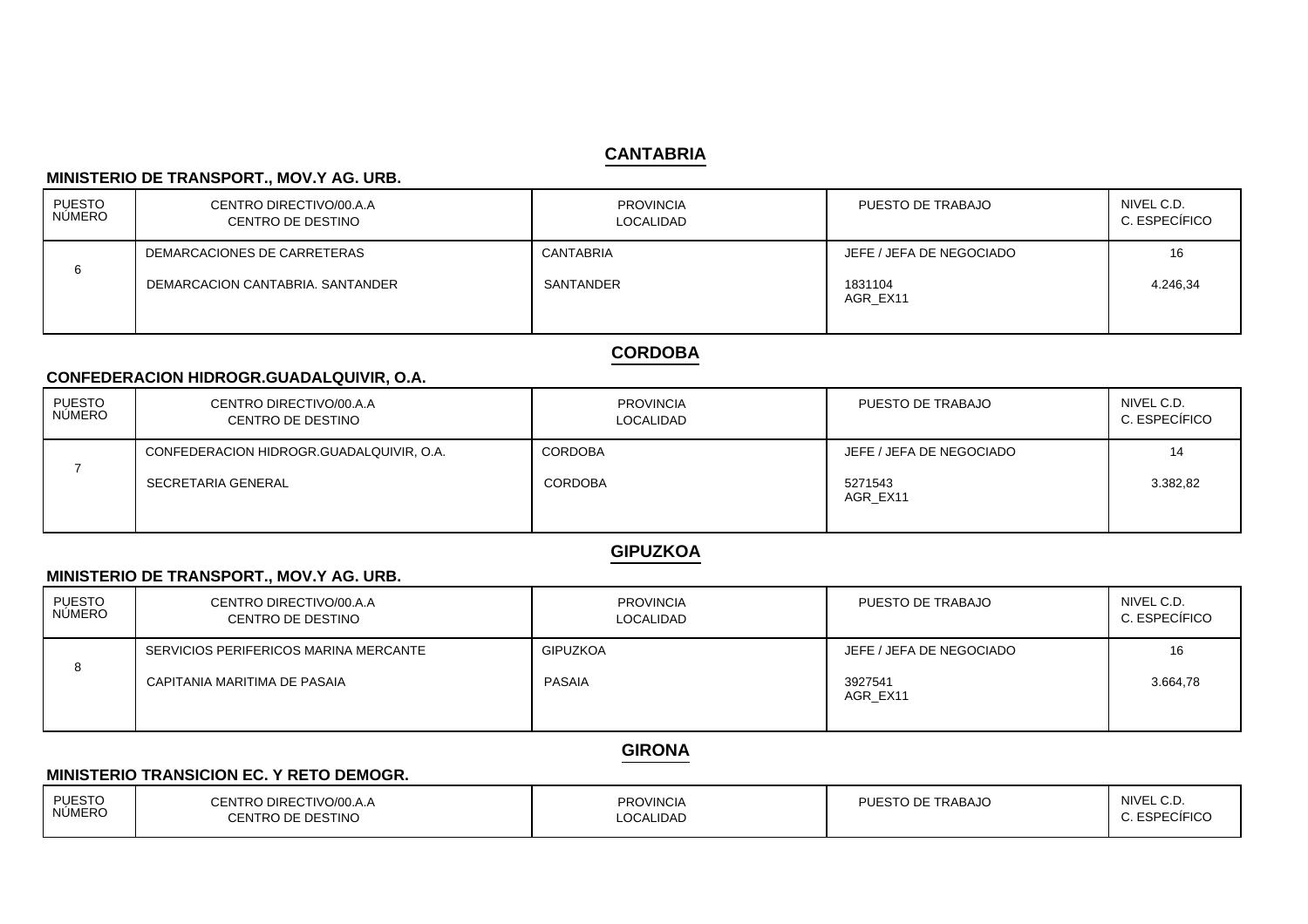# **CANTABRIA**

#### **MINISTERIO DE TRANSPORT., MOV.Y AG. URB.**

| PUESTO<br>  NÚMERO | CENTRO DIRECTIVO/00.A.A<br>CENTRO DE DESTINO | <b>PROVINCIA</b><br><b>LOCALIDAD</b> | PUESTO DE TRABAJO        | NIVEL C.D.<br>C. ESPECÍFICO |
|--------------------|----------------------------------------------|--------------------------------------|--------------------------|-----------------------------|
|                    | DEMARCACIONES DE CARRETERAS                  | CANTABRIA                            | JEFE / JEFA DE NEGOCIADO | 16                          |
| 6                  | DEMARCACION CANTABRIA, SANTANDER             | SANTANDER                            | 1831104<br>AGR EX11      | 4.246,34                    |

# **CORDOBA**

### **CONFEDERACION HIDROGR.GUADALQUIVIR, O.A.**

| PUESTO<br>NÚMERO | CENTRO DIRECTIVO/00.A.A<br>CENTRO DE DESTINO | <b>PROVINCIA</b><br>LOCALIDAD | PUESTO DE TRABAJO        | NIVEL C.D.<br>C. ESPECÍFICO |
|------------------|----------------------------------------------|-------------------------------|--------------------------|-----------------------------|
|                  | CONFEDERACION HIDROGR.GUADALQUIVIR, O.A.     | <b>CORDOBA</b>                | JEFE / JEFA DE NEGOCIADO | 14                          |
|                  | SECRETARIA GENERAL                           | <b>CORDOBA</b>                | 5271543<br>AGR EX11      | 3.382,82                    |

# **GIPUZKOA**

#### **MINISTERIO DE TRANSPORT., MOV.Y AG. URB.**

| PUESTO<br>NÚMERO | CENTRO DIRECTIVO/00.A.A<br>CENTRO DE DESTINO | <b>PROVINCIA</b><br><b>LOCALIDAD</b> | PUESTO DE TRABAJO        | NIVEL C.D.<br>C. ESPECÍFICO |
|------------------|----------------------------------------------|--------------------------------------|--------------------------|-----------------------------|
|                  | SERVICIOS PERIFERICOS MARINA MERCANTE        | <b>GIPUZKOA</b>                      | JEFE / JEFA DE NEGOCIADO | 16                          |
| 8                | CAPITANIA MARITIMA DE PASAIA                 | PASAIA                               | 3927541<br>AGR EX11      | 3.664,78                    |

# **GIRONA**

#### **MINISTERIO TRANSICION EC. Y RETO DEMOGR.**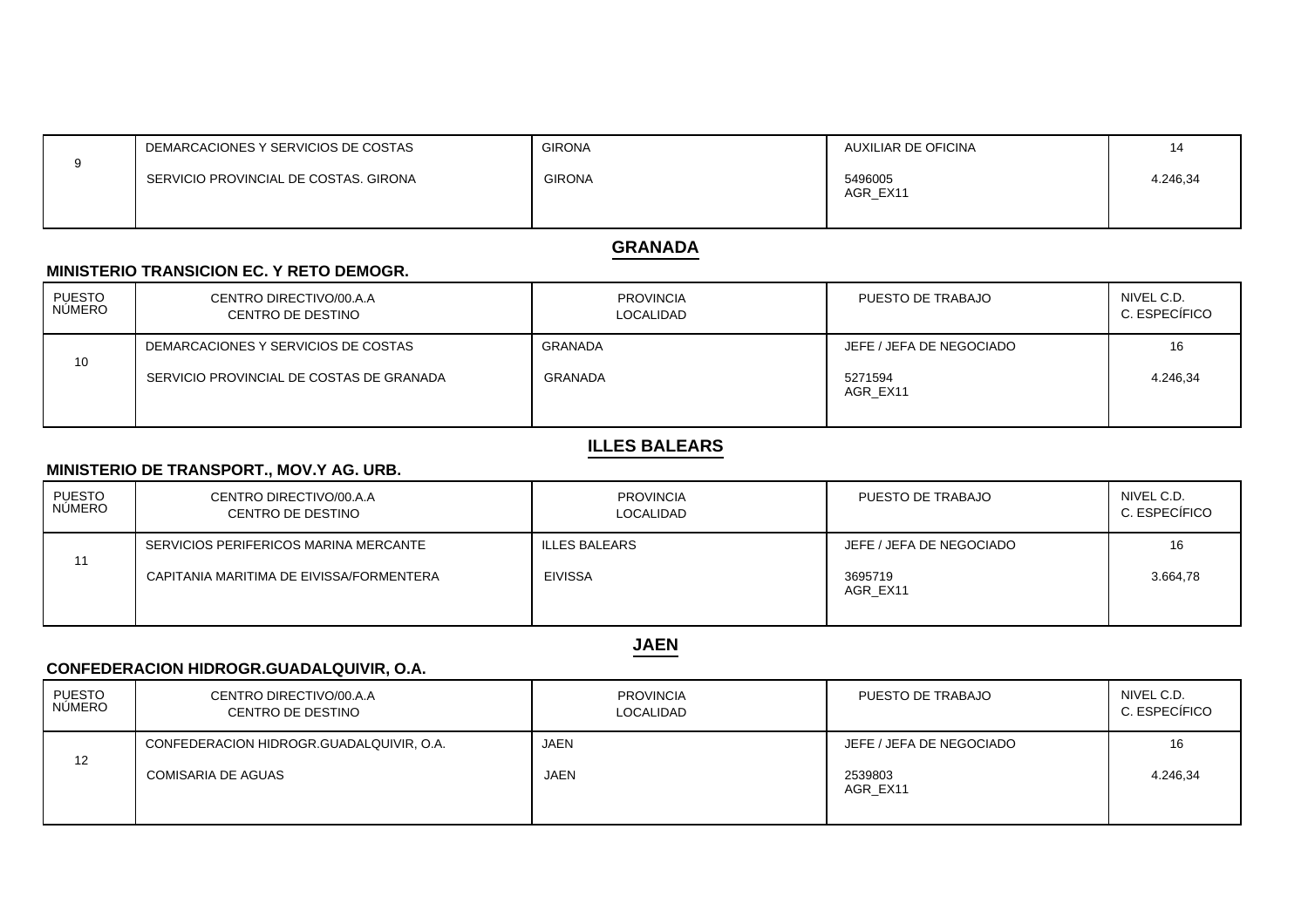| DEMARCACIONES Y SERVICIOS DE COSTAS   | <b>GIRONA</b> | AUXILIAR DE OFICINA |          |
|---------------------------------------|---------------|---------------------|----------|
| SERVICIO PROVINCIAL DE COSTAS, GIRONA | <b>GIRONA</b> | 5496005<br>AGR EX11 | 4.246,34 |

#### **GRANADA**

#### **MINISTERIO TRANSICION EC. Y RETO DEMOGR.**

| <b>PUESTO</b><br><b>NÚMERO</b> | CENTRO DIRECTIVO/00.A.A<br>CENTRO DE DESTINO | <b>PROVINCIA</b><br><b>LOCALIDAD</b> | PUESTO DE TRABAJO        | NIVEL C.D.<br>C. ESPECÍFICO |
|--------------------------------|----------------------------------------------|--------------------------------------|--------------------------|-----------------------------|
|                                | DEMARCACIONES Y SERVICIOS DE COSTAS          | GRANADA                              | JEFE / JEFA DE NEGOCIADO | 16                          |
| 10                             | SERVICIO PROVINCIAL DE COSTAS DE GRANADA     | GRANADA                              | 5271594<br>AGR EX11      | 4.246,34                    |

## **ILLES BALEARS**

#### **MINISTERIO DE TRANSPORT., MOV.Y AG. URB.**

| PUESTO<br>NÚMERO | CENTRO DIRECTIVO/00.A.A<br>CENTRO DE DESTINO | <b>PROVINCIA</b><br><b>LOCALIDAD</b> | PUESTO DE TRABAJO        | NIVEL C.D.<br>C. ESPECÍFICO |
|------------------|----------------------------------------------|--------------------------------------|--------------------------|-----------------------------|
|                  | SERVICIOS PERIFERICOS MARINA MERCANTE        | <b>ILLES BALEARS</b>                 | JEFE / JEFA DE NEGOCIADO | 16                          |
| 11               | CAPITANIA MARITIMA DE EIVISSA/FORMENTERA     | <b>EIVISSA</b>                       | 3695719<br>AGR EX11      | 3.664,78                    |

**JAEN**

# **CONFEDERACION HIDROGR.GUADALQUIVIR, O.A.**

| <b>PUESTO</b><br><b>NUMERO</b> | CENTRO DIRECTIVO/00.A.A<br>CENTRO DE DESTINO | <b>PROVINCIA</b><br><b>LOCALIDAD</b> | PUESTO DE TRABAJO        | NIVEL C.D.<br>C. ESPECÍFICO |
|--------------------------------|----------------------------------------------|--------------------------------------|--------------------------|-----------------------------|
|                                | CONFEDERACION HIDROGR.GUADALQUIVIR, O.A.     | JAEN                                 | JEFE / JEFA DE NEGOCIADO | 16                          |
| 12                             | <b>COMISARIA DE AGUAS</b>                    | <b>JAEN</b>                          | 2539803<br>AGR EX11      | 4.246,34                    |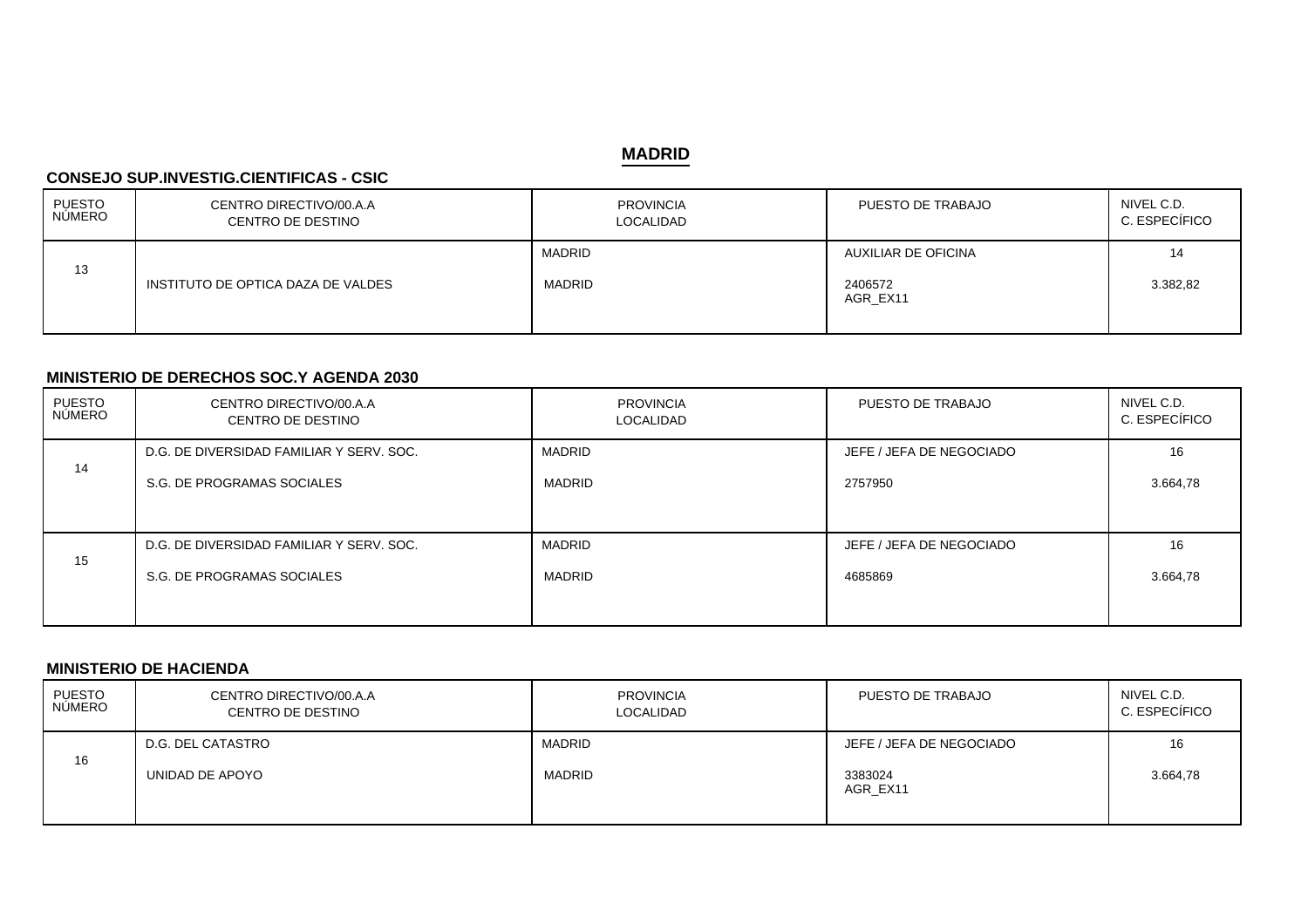### **MADRID**

#### **CONSEJO SUP.INVESTIG.CIENTIFICAS - CSIC**

| PUESTO<br>NÚMERO | CENTRO DIRECTIVO/00.A.A<br>CENTRO DE DESTINO | <b>PROVINCIA</b><br>LOCALIDAD  | PUESTO DE TRABAJO                          | NIVEL C.D.<br>C. ESPECÍFICO |
|------------------|----------------------------------------------|--------------------------------|--------------------------------------------|-----------------------------|
| 13               | INSTITUTO DE OPTICA DAZA DE VALDES           | <b>MADRID</b><br><b>MADRID</b> | AUXILIAR DE OFICINA<br>2406572<br>AGR_EX11 | 14<br>3.382,82              |

### **MINISTERIO DE DERECHOS SOC.Y AGENDA 2030**

| <b>PUESTO</b> | CENTRO DIRECTIVO/00.A.A                  | <b>PROVINCIA</b> | PUESTO DE TRABAJO        | NIVEL C.D.    |
|---------------|------------------------------------------|------------------|--------------------------|---------------|
| NÚMERO        | CENTRO DE DESTINO                        | LOCALIDAD        |                          | C. ESPECÍFICO |
| 14            | D.G. DE DIVERSIDAD FAMILIAR Y SERV. SOC. | <b>MADRID</b>    | JEFE / JEFA DE NEGOCIADO | 16            |
|               | S.G. DE PROGRAMAS SOCIALES               | MADRID           | 2757950                  | 3.664,78      |
| 15            | D.G. DE DIVERSIDAD FAMILIAR Y SERV. SOC. | <b>MADRID</b>    | JEFE / JEFA DE NEGOCIADO | 16            |
|               | S.G. DE PROGRAMAS SOCIALES               | <b>MADRID</b>    | 4685869                  | 3.664,78      |

#### **MINISTERIO DE HACIENDA**

| PUESTO<br>NÚMERO | CENTRO DIRECTIVO/00.A.A<br>CENTRO DE DESTINO | <b>PROVINCIA</b><br><b>LOCALIDAD</b> | PUESTO DE TRABAJO        | NIVEL C.D.<br>C. ESPECÍFICO |
|------------------|----------------------------------------------|--------------------------------------|--------------------------|-----------------------------|
|                  | D.G. DEL CATASTRO                            | <b>MADRID</b>                        | JEFE / JEFA DE NEGOCIADO | 16                          |
| 16               | UNIDAD DE APOYO                              | <b>MADRID</b>                        | 3383024<br>AGR EX11      | 3.664,78                    |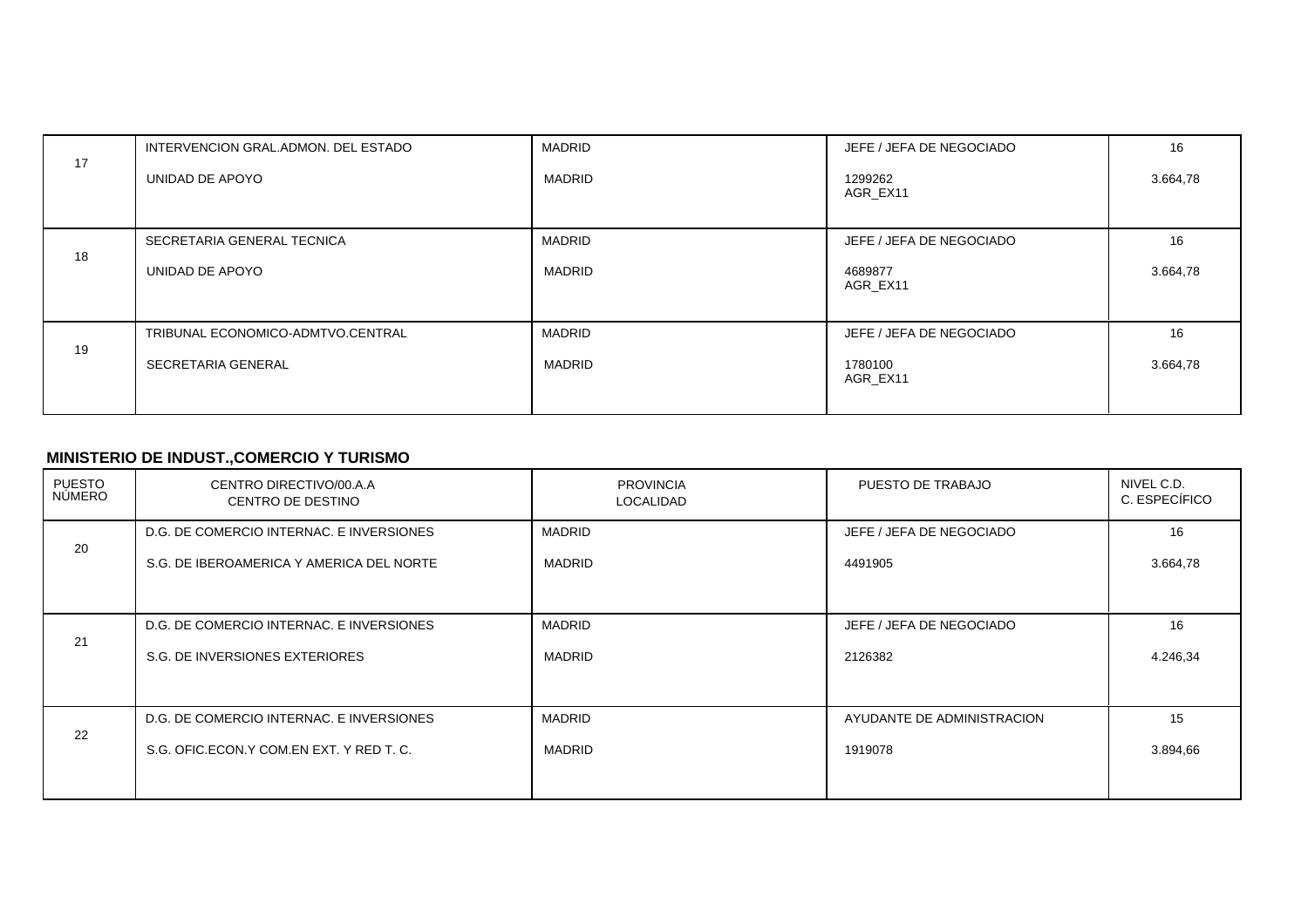|    | INTERVENCION GRAL.ADMON. DEL ESTADO | <b>MADRID</b> | JEFE / JEFA DE NEGOCIADO | 16       |
|----|-------------------------------------|---------------|--------------------------|----------|
| 17 | UNIDAD DE APOYO                     | <b>MADRID</b> | 1299262<br>AGR EX11      | 3.664,78 |
| 18 | SECRETARIA GENERAL TECNICA          | <b>MADRID</b> | JEFE / JEFA DE NEGOCIADO | 16       |
|    | UNIDAD DE APOYO                     | MADRID        | 4689877<br>AGR EX11      | 3.664,78 |
| 19 | TRIBUNAL ECONOMICO-ADMTVO.CENTRAL   | <b>MADRID</b> | JEFE / JEFA DE NEGOCIADO | 16       |
|    | SECRETARIA GENERAL                  | MADRID        | 1780100<br>AGR EX11      | 3.664,78 |

# **MINISTERIO DE INDUST.,COMERCIO Y TURISMO**

| PUESTO<br>NÚMERO | CENTRO DIRECTIVO/00.A.A<br>CENTRO DE DESTINO | <b>PROVINCIA</b><br>LOCALIDAD | PUESTO DE TRABAJO          | NIVEL C.D.<br>C. ESPECÍFICO |
|------------------|----------------------------------------------|-------------------------------|----------------------------|-----------------------------|
| 20               | D.G. DE COMERCIO INTERNAC. E INVERSIONES     | <b>MADRID</b>                 | JEFE / JEFA DE NEGOCIADO   | 16                          |
|                  | S.G. DE IBEROAMERICA Y AMERICA DEL NORTE     | <b>MADRID</b>                 | 4491905                    | 3.664,78                    |
|                  |                                              |                               |                            |                             |
| 21               | D.G. DE COMERCIO INTERNAC. E INVERSIONES     | <b>MADRID</b>                 | JEFE / JEFA DE NEGOCIADO   | 16                          |
|                  | S.G. DE INVERSIONES EXTERIORES               | <b>MADRID</b>                 | 2126382                    | 4.246,34                    |
|                  |                                              |                               |                            |                             |
| 22               | D.G. DE COMERCIO INTERNAC. E INVERSIONES     | <b>MADRID</b>                 | AYUDANTE DE ADMINISTRACION | 15                          |
|                  | S.G. OFIC.ECON.Y COM.EN EXT. Y RED T. C.     | <b>MADRID</b>                 | 1919078                    | 3.894,66                    |
|                  |                                              |                               |                            |                             |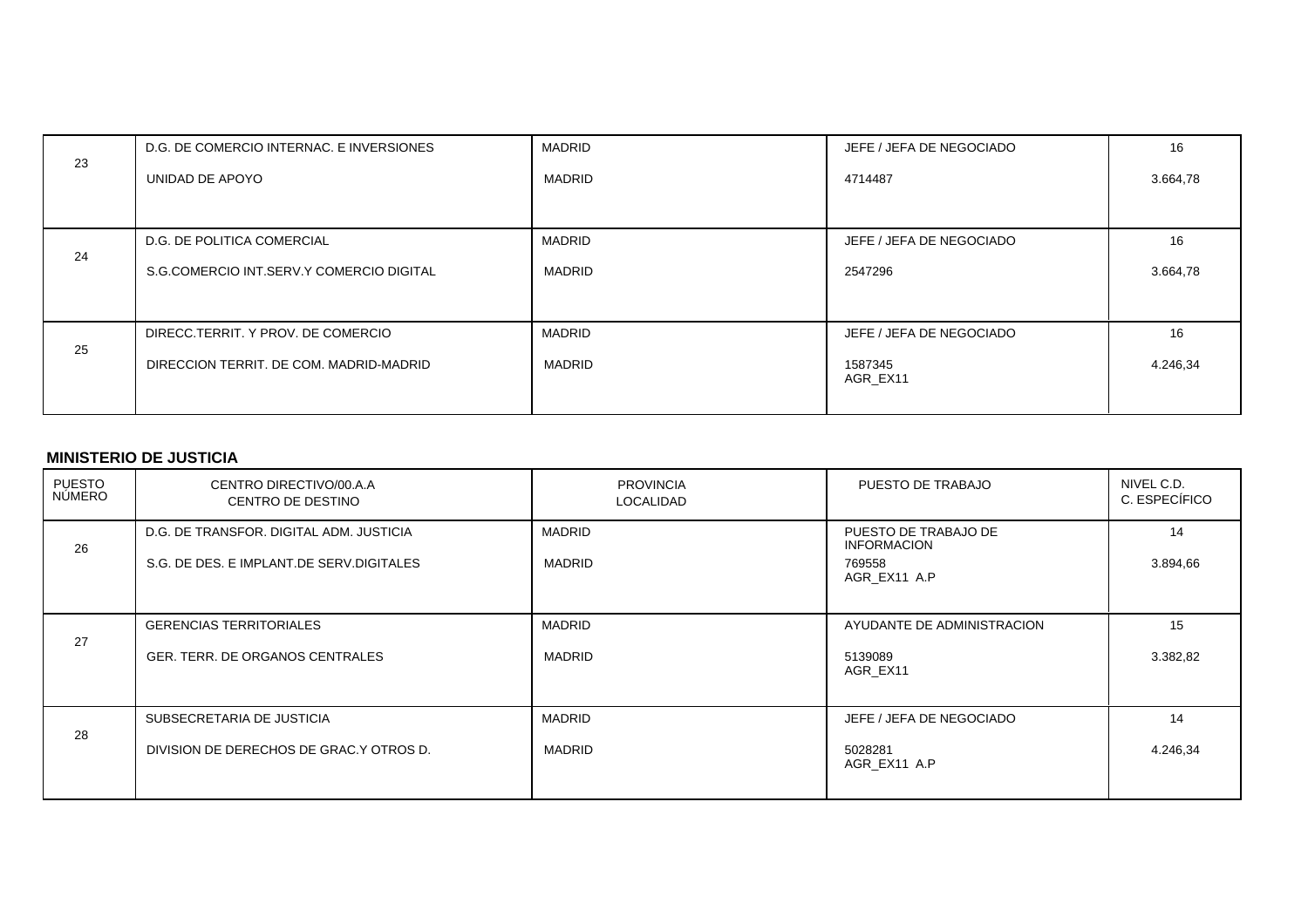| 23 | D.G. DE COMERCIO INTERNAC. E INVERSIONES | <b>MADRID</b> | JEFE / JEFA DE NEGOCIADO | 16       |
|----|------------------------------------------|---------------|--------------------------|----------|
|    | UNIDAD DE APOYO                          | <b>MADRID</b> | 4714487                  | 3.664,78 |
|    |                                          |               |                          |          |
|    | D.G. DE POLITICA COMERCIAL               | <b>MADRID</b> | JEFE / JEFA DE NEGOCIADO | 16       |
| 24 | S.G.COMERCIO INT.SERV.Y COMERCIO DIGITAL | <b>MADRID</b> | 2547296                  | 3.664,78 |
|    |                                          |               |                          |          |
|    | DIRECC.TERRIT. Y PROV. DE COMERCIO       | <b>MADRID</b> | JEFE / JEFA DE NEGOCIADO | 16       |
| 25 | DIRECCION TERRIT, DE COM, MADRID-MADRID  | MADRID        | 1587345<br>AGR EX11      | 4.246,34 |
|    |                                          |               |                          |          |

#### **MINISTERIO DE JUSTICIA**

| PUESTO<br>NÚMERO | CENTRO DIRECTIVO/00.A.A<br>CENTRO DE DESTINO                                        | <b>PROVINCIA</b><br>LOCALIDAD  | PUESTO DE TRABAJO                                                    | NIVEL C.D.<br>C. ESPECÍFICO |
|------------------|-------------------------------------------------------------------------------------|--------------------------------|----------------------------------------------------------------------|-----------------------------|
| 26               | D.G. DE TRANSFOR, DIGITAL ADM, JUSTICIA<br>S.G. DE DES. E IMPLANT.DE SERV.DIGITALES | <b>MADRID</b><br><b>MADRID</b> | PUESTO DE TRABAJO DE<br><b>INFORMACION</b><br>769558<br>AGR EX11 A.P | 14<br>3.894,66              |
| 27               | <b>GERENCIAS TERRITORIALES</b><br>GER. TERR. DE ORGANOS CENTRALES                   | <b>MADRID</b><br><b>MADRID</b> | AYUDANTE DE ADMINISTRACION<br>5139089<br>AGR EX11                    | 15<br>3.382,82              |
| 28               | SUBSECRETARIA DE JUSTICIA<br>DIVISION DE DERECHOS DE GRAC.Y OTROS D.                | MADRID<br><b>MADRID</b>        | JEFE / JEFA DE NEGOCIADO<br>5028281<br>AGR EX11 A.P                  | 14<br>4.246,34              |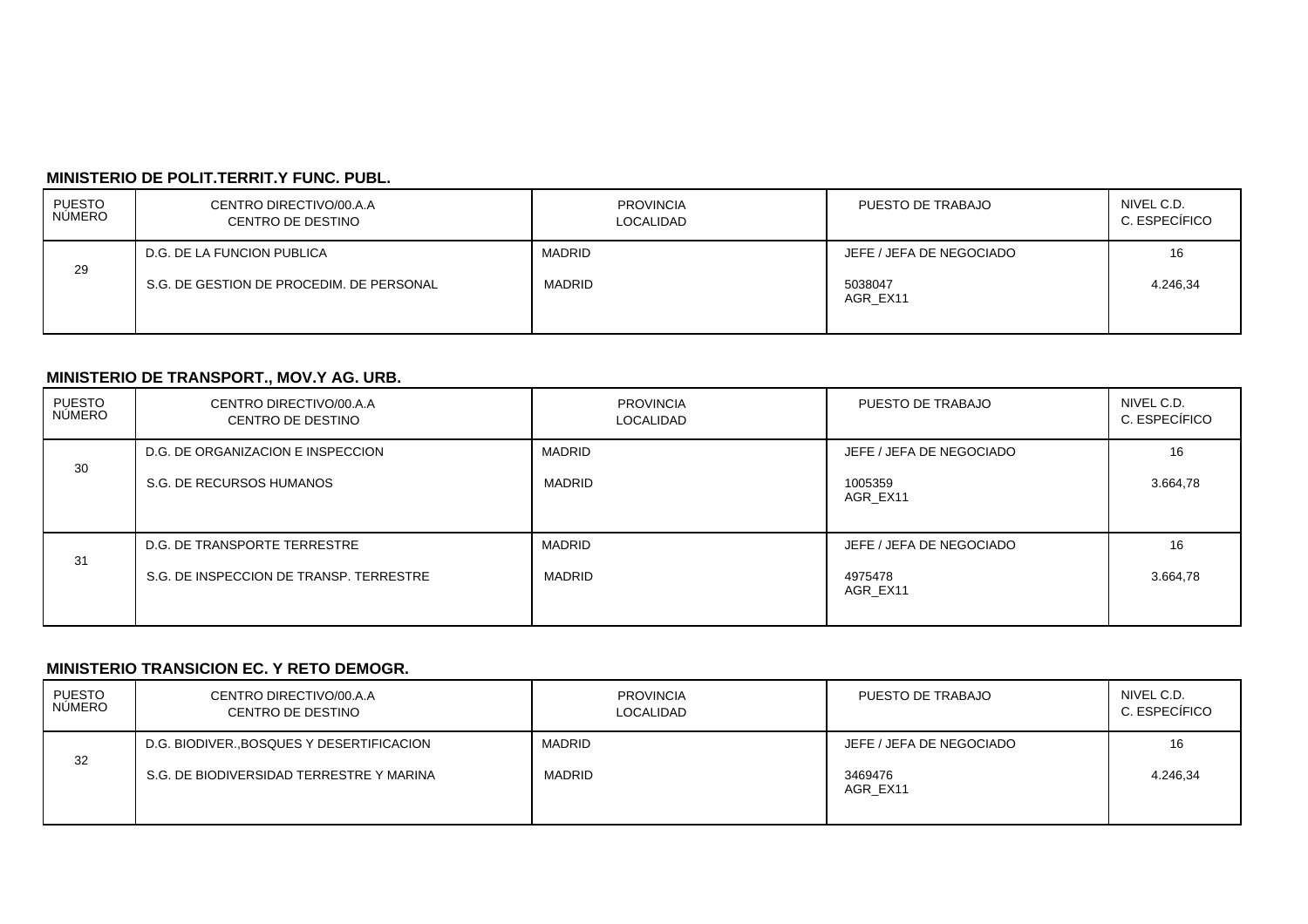## **MINISTERIO DE POLIT.TERRIT.Y FUNC. PUBL.**

| PUESTO<br>NÚMERO | CENTRO DIRECTIVO/00.A.A<br>CENTRO DE DESTINO | <b>PROVINCIA</b><br>LOCALIDAD | PUESTO DE TRABAJO        | NIVEL C.D.<br>C. ESPECÍFICO |
|------------------|----------------------------------------------|-------------------------------|--------------------------|-----------------------------|
|                  | D.G. DE LA FUNCION PUBLICA                   | MADRID                        | JEFE / JEFA DE NEGOCIADO | 16                          |
| 29               | S.G. DE GESTION DE PROCEDIM. DE PERSONAL     | <b>MADRID</b>                 | 5038047<br>AGR EX11      | 4.246.34                    |

## **MINISTERIO DE TRANSPORT., MOV.Y AG. URB.**

| PUESTO<br><b>NÚMERO</b> | CENTRO DIRECTIVO/00.A.A<br>CENTRO DE DESTINO                            | <b>PROVINCIA</b><br><b>LOCALIDAD</b> | PUESTO DE TRABAJO                               | NIVEL C.D.<br>C. ESPECÍFICO |
|-------------------------|-------------------------------------------------------------------------|--------------------------------------|-------------------------------------------------|-----------------------------|
| 30                      | D.G. DE ORGANIZACION E INSPECCION<br>S.G. DE RECURSOS HUMANOS           | <b>MADRID</b><br><b>MADRID</b>       | JEFE / JEFA DE NEGOCIADO<br>1005359<br>AGR EX11 | 16<br>3.664,78              |
| 31                      | D.G. DE TRANSPORTE TERRESTRE<br>S.G. DE INSPECCION DE TRANSP. TERRESTRE | <b>MADRID</b><br><b>MADRID</b>       | JEFE / JEFA DE NEGOCIADO<br>4975478<br>AGR EX11 | 16<br>3.664,78              |

#### **MINISTERIO TRANSICION EC. Y RETO DEMOGR.**

| <b>PUESTO</b><br><b>NUMERO</b> | CENTRO DIRECTIVO/00.A.A<br>CENTRO DE DESTINO | <b>PROVINCIA</b><br>LOCALIDAD | PUESTO DE TRABAJO        | NIVEL C.D.<br>C. ESPECÍFICO |
|--------------------------------|----------------------------------------------|-------------------------------|--------------------------|-----------------------------|
|                                | D.G. BIODIVER., BOSQUES Y DESERTIFICACION    | MADRID                        | JEFE / JEFA DE NEGOCIADO | 16                          |
| 32                             | S.G. DE BIODIVERSIDAD TERRESTRE Y MARINA     | <b>MADRID</b>                 | 3469476<br>AGR EX11      | 4.246,34                    |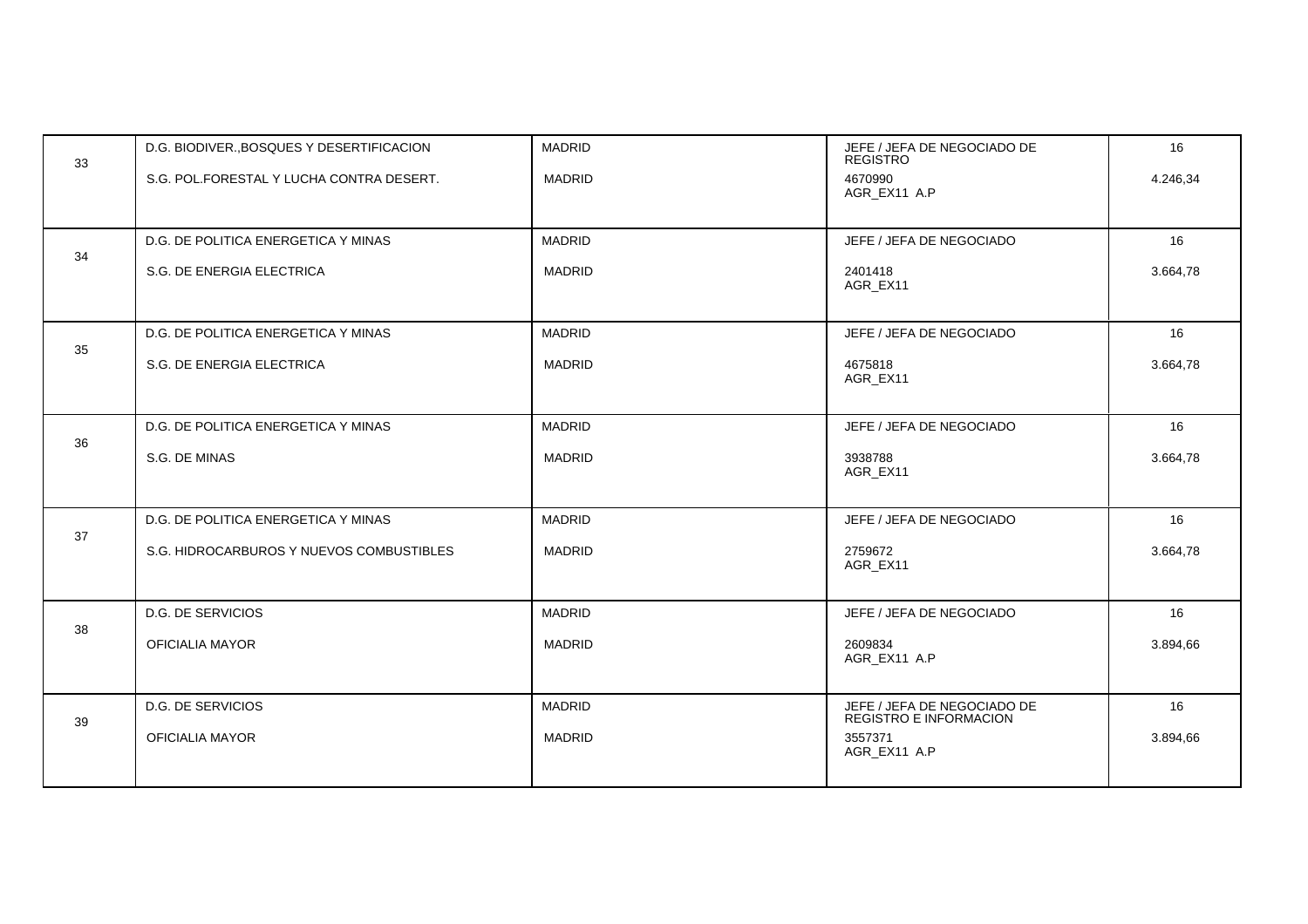| 33 | D.G. BIODIVER., BOSQUES Y DESERTIFICACION | <b>MADRID</b> | JEFE / JEFA DE NEGOCIADO DE<br><b>REGISTRO</b>               | 16       |
|----|-------------------------------------------|---------------|--------------------------------------------------------------|----------|
|    | S.G. POL.FORESTAL Y LUCHA CONTRA DESERT.  | <b>MADRID</b> | 4670990<br>AGR EX11 A.P                                      | 4.246,34 |
|    |                                           |               |                                                              |          |
|    | D.G. DE POLITICA ENERGETICA Y MINAS       | <b>MADRID</b> | JEFE / JEFA DE NEGOCIADO                                     | 16       |
| 34 | S.G. DE ENERGIA ELECTRICA                 | <b>MADRID</b> | 2401418<br>AGR EX11                                          | 3.664,78 |
|    | D.G. DE POLITICA ENERGETICA Y MINAS       | <b>MADRID</b> | JEFE / JEFA DE NEGOCIADO                                     | 16       |
| 35 | S.G. DE ENERGIA ELECTRICA                 | <b>MADRID</b> | 4675818<br>AGR_EX11                                          | 3.664,78 |
|    |                                           |               |                                                              |          |
| 36 | D.G. DE POLITICA ENERGETICA Y MINAS       | <b>MADRID</b> | JEFE / JEFA DE NEGOCIADO                                     | 16       |
|    | S.G. DE MINAS                             | <b>MADRID</b> | 3938788<br>AGR_EX11                                          | 3.664,78 |
|    | D.G. DE POLITICA ENERGETICA Y MINAS       | <b>MADRID</b> | JEFE / JEFA DE NEGOCIADO                                     | 16       |
| 37 | S.G. HIDROCARBUROS Y NUEVOS COMBUSTIBLES  | <b>MADRID</b> | 2759672<br>AGR_EX11                                          | 3.664,78 |
|    |                                           |               |                                                              |          |
| 38 | D.G. DE SERVICIOS                         | <b>MADRID</b> | JEFE / JEFA DE NEGOCIADO                                     | 16       |
|    | OFICIALIA MAYOR                           | <b>MADRID</b> | 2609834<br>AGR EX11 A.P                                      | 3.894,66 |
|    |                                           |               |                                                              |          |
| 39 | <b>D.G. DE SERVICIOS</b>                  | <b>MADRID</b> | JEFE / JEFA DE NEGOCIADO DE<br><b>REGISTRO E INFORMACION</b> | 16       |
|    | <b>OFICIALIA MAYOR</b>                    | <b>MADRID</b> | 3557371<br>AGR_EX11 A.P                                      | 3.894,66 |
|    |                                           |               |                                                              |          |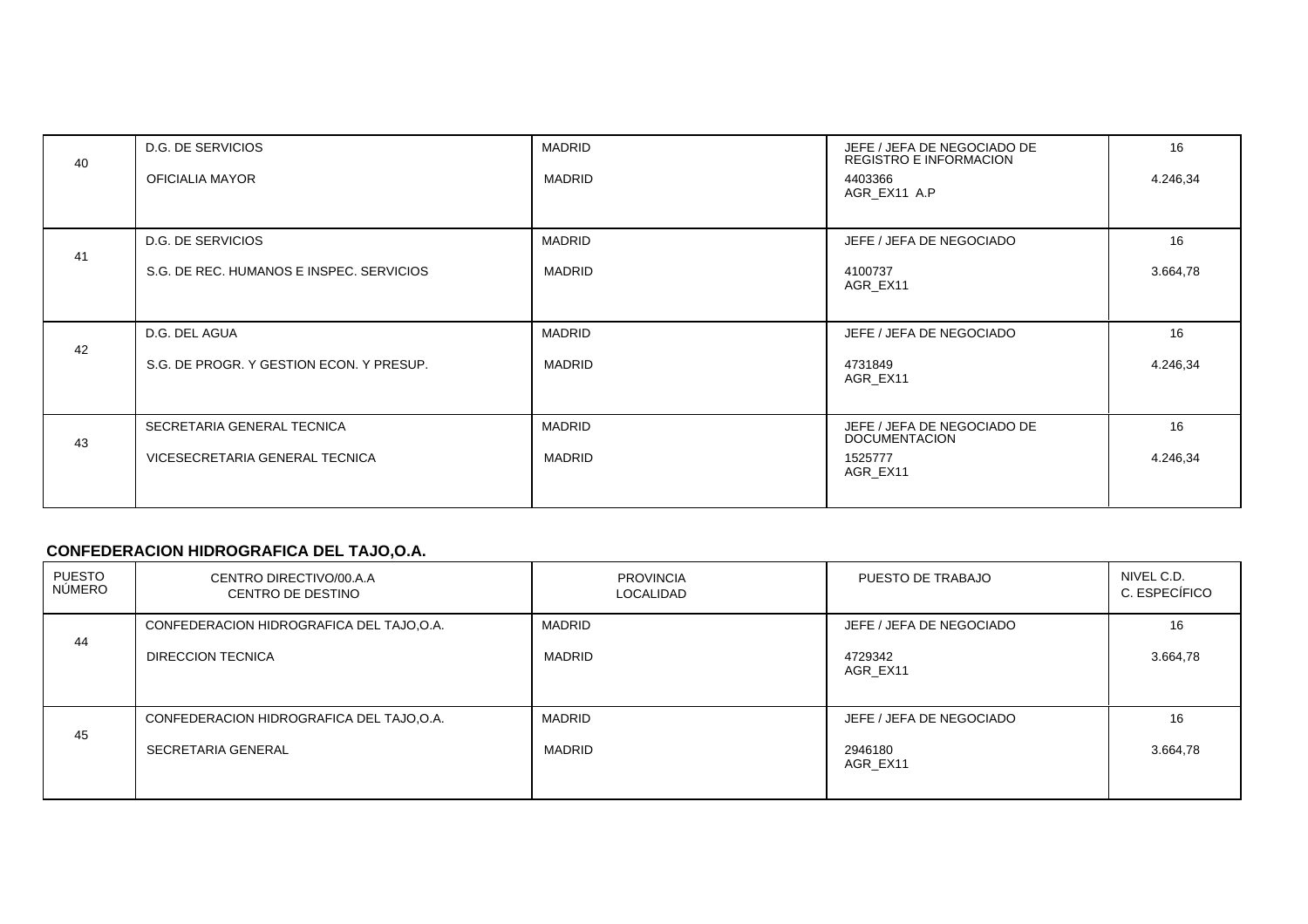| 40 | <b>D.G. DE SERVICIOS</b>                 | <b>MADRID</b> | JEFE / JEFA DE NEGOCIADO DE<br><b>REGISTRO E INFORMACION</b> | 16       |
|----|------------------------------------------|---------------|--------------------------------------------------------------|----------|
|    | OFICIALIA MAYOR                          | MADRID        | 4403366<br>AGR_EX11 A.P                                      | 4.246,34 |
|    |                                          |               |                                                              |          |
| 41 | D.G. DE SERVICIOS                        | MADRID        | JEFE / JEFA DE NEGOCIADO                                     | 16       |
|    | S.G. DE REC. HUMANOS E INSPEC. SERVICIOS | MADRID        | 4100737<br>AGR EX11                                          | 3.664,78 |
|    |                                          |               |                                                              |          |
| 42 | D.G. DEL AGUA                            | <b>MADRID</b> | JEFE / JEFA DE NEGOCIADO                                     | 16       |
|    | S.G. DE PROGR. Y GESTION ECON. Y PRESUP. | MADRID        | 4731849<br>AGR EX11                                          | 4.246,34 |
|    |                                          |               |                                                              |          |
| 43 | SECRETARIA GENERAL TECNICA               | <b>MADRID</b> | JEFE / JEFA DE NEGOCIADO DE<br><b>DOCUMENTACION</b>          | 16       |
|    | VICESECRETARIA GENERAL TECNICA           | MADRID        | 1525777<br>AGR_EX11                                          | 4.246,34 |
|    |                                          |               |                                                              |          |

# **CONFEDERACION HIDROGRAFICA DEL TAJO,O.A.**

| PUESTO<br>NÚMERO | CENTRO DIRECTIVO/00.A.A<br><b>CENTRO DE DESTINO</b>             | <b>PROVINCIA</b><br><b>LOCALIDAD</b> | PUESTO DE TRABAJO                               | NIVEL C.D.<br>C. ESPECÍFICO |
|------------------|-----------------------------------------------------------------|--------------------------------------|-------------------------------------------------|-----------------------------|
| 44               | CONFEDERACION HIDROGRAFICA DEL TAJO,O.A.<br>DIRECCION TECNICA   | <b>MADRID</b><br><b>MADRID</b>       | JEFE / JEFA DE NEGOCIADO<br>4729342<br>AGR EX11 | 16<br>3.664,78              |
| 45               | CONFEDERACION HIDROGRAFICA DEL TAJO, O.A.<br>SECRETARIA GENERAL | <b>MADRID</b><br><b>MADRID</b>       | JEFE / JEFA DE NEGOCIADO<br>2946180<br>AGR EX11 | 16<br>3.664,78              |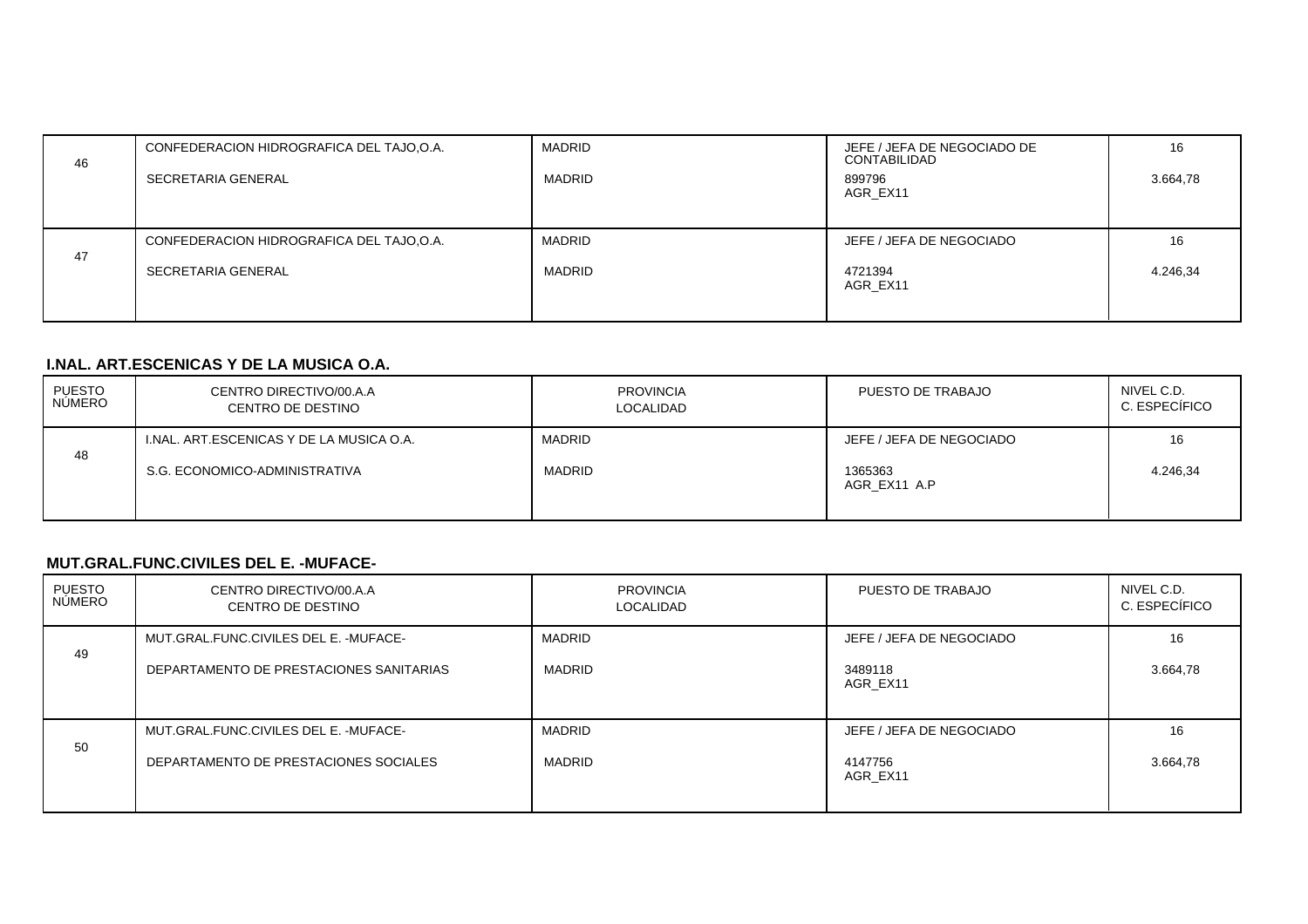| 46 | CONFEDERACION HIDROGRAFICA DEL TAJO, O.A.<br>SECRETARIA GENERAL | <b>MADRID</b><br><b>MADRID</b> | JEFE / JEFA DE NEGOCIADO DE<br>CONTABILIDAD<br>899796<br>AGR EX11 | 16<br>3.664,78 |
|----|-----------------------------------------------------------------|--------------------------------|-------------------------------------------------------------------|----------------|
| 47 | CONFEDERACION HIDROGRAFICA DEL TAJO, O.A.<br>SECRETARIA GENERAL | <b>MADRID</b><br><b>MADRID</b> | JEFE / JEFA DE NEGOCIADO<br>4721394<br>AGR EX11                   | 16<br>4.246,34 |

### **I.NAL. ART.ESCENICAS Y DE LA MUSICA O.A.**

| PUESTO<br>NÚMERO | CENTRO DIRECTIVO/00.A.A<br>CENTRO DE DESTINO | <b>PROVINCIA</b><br><b>LOCALIDAD</b> | PUESTO DE TRABAJO        | NIVEL C.D.<br>C. ESPECÍFICO |
|------------------|----------------------------------------------|--------------------------------------|--------------------------|-----------------------------|
|                  | I.NAL. ART.ESCENICAS Y DE LA MUSICA O.A.     | MADRID                               | JEFE / JEFA DE NEGOCIADO | 16                          |
| 48               | S.G. ECONOMICO-ADMINISTRATIVA                | <b>MADRID</b>                        | 1365363<br>AGR EX11 A.P  | 4.246.34                    |

#### **MUT.GRAL.FUNC.CIVILES DEL E. -MUFACE-**

| PUESTO<br>NÚMERO | CENTRO DIRECTIVO/00.A.A<br>CENTRO DE DESTINO                                      | <b>PROVINCIA</b><br>LOCALIDAD | PUESTO DE TRABAJO                               | NIVEL C.D.<br>C. ESPECÍFICO |
|------------------|-----------------------------------------------------------------------------------|-------------------------------|-------------------------------------------------|-----------------------------|
| 49               | MUT.GRAL.FUNC.CIVILES DEL E. - MUFACE-<br>DEPARTAMENTO DE PRESTACIONES SANITARIAS | MADRID<br><b>MADRID</b>       | JEFE / JEFA DE NEGOCIADO<br>3489118<br>AGR EX11 | 16<br>3.664,78              |
| 50               | MUT.GRAL.FUNC.CIVILES DEL E. - MUFACE-<br>DEPARTAMENTO DE PRESTACIONES SOCIALES   | MADRID<br><b>MADRID</b>       | JEFE / JEFA DE NEGOCIADO<br>4147756<br>AGR EX11 | 16<br>3.664,78              |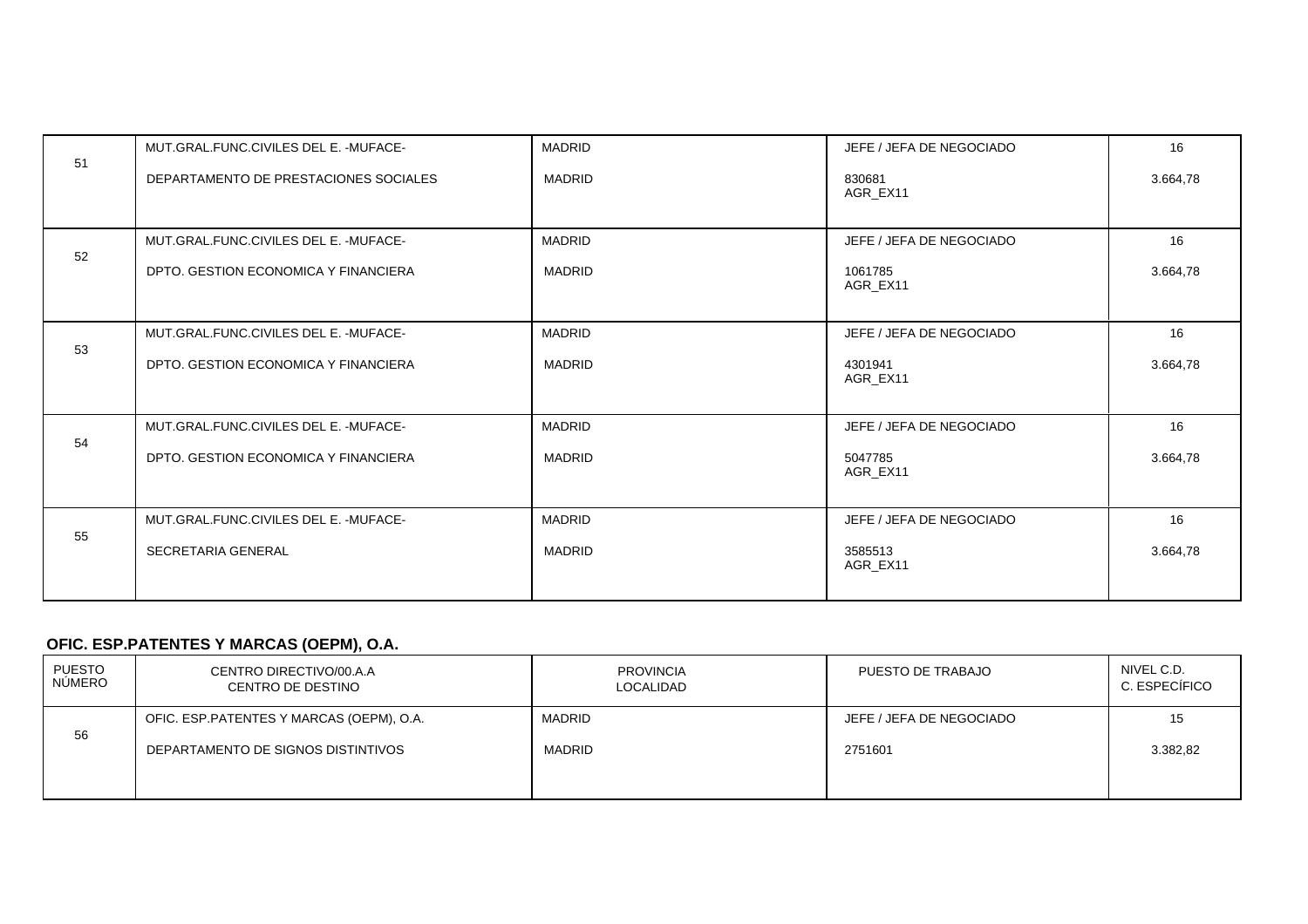| 51 | MUT.GRAL.FUNC.CIVILES DEL E. - MUFACE- | <b>MADRID</b> | JEFE / JEFA DE NEGOCIADO | 16       |
|----|----------------------------------------|---------------|--------------------------|----------|
|    | DEPARTAMENTO DE PRESTACIONES SOCIALES  | <b>MADRID</b> | 830681<br>AGR_EX11       | 3.664,78 |
| 52 | MUT.GRAL.FUNC.CIVILES DEL E. - MUFACE- | <b>MADRID</b> | JEFE / JEFA DE NEGOCIADO | 16       |
|    | DPTO, GESTION ECONOMICA Y FINANCIERA   | <b>MADRID</b> | 1061785<br>AGR EX11      | 3.664,78 |
|    | MUT.GRAL.FUNC.CIVILES DEL E. - MUFACE- | <b>MADRID</b> | JEFE / JEFA DE NEGOCIADO | 16       |
| 53 | DPTO, GESTION ECONOMICA Y FINANCIERA   | <b>MADRID</b> | 4301941<br>AGR_EX11      | 3.664,78 |
| 54 | MUT.GRAL.FUNC.CIVILES DEL E. - MUFACE- | <b>MADRID</b> | JEFE / JEFA DE NEGOCIADO | 16       |
|    | DPTO, GESTION ECONOMICA Y FINANCIERA   | <b>MADRID</b> | 5047785<br>AGR EX11      | 3.664,78 |
| 55 | MUT.GRAL.FUNC.CIVILES DEL E. - MUFACE- | <b>MADRID</b> | JEFE / JEFA DE NEGOCIADO | 16       |
|    | <b>SECRETARIA GENERAL</b>              | <b>MADRID</b> | 3585513<br>AGR EX11      | 3.664,78 |

# **OFIC. ESP.PATENTES Y MARCAS (OEPM), O.A.**

| PUESTO<br>NÚMERO | CENTRO DIRECTIVO/00.A.A<br>CENTRO DE DESTINO | <b>PROVINCIA</b><br><b>LOCALIDAD</b> | PUESTO DE TRABAJO        | NIVEL C.D.<br>C. ESPECÍFICO |
|------------------|----------------------------------------------|--------------------------------------|--------------------------|-----------------------------|
|                  | OFIC. ESP. PATENTES Y MARCAS (OEPM), O.A.    | <b>MADRID</b>                        | JEFE / JEFA DE NEGOCIADO | 15                          |
| 56               | DEPARTAMENTO DE SIGNOS DISTINTIVOS           | <b>MADRID</b>                        | 2751601                  | 3.382,82                    |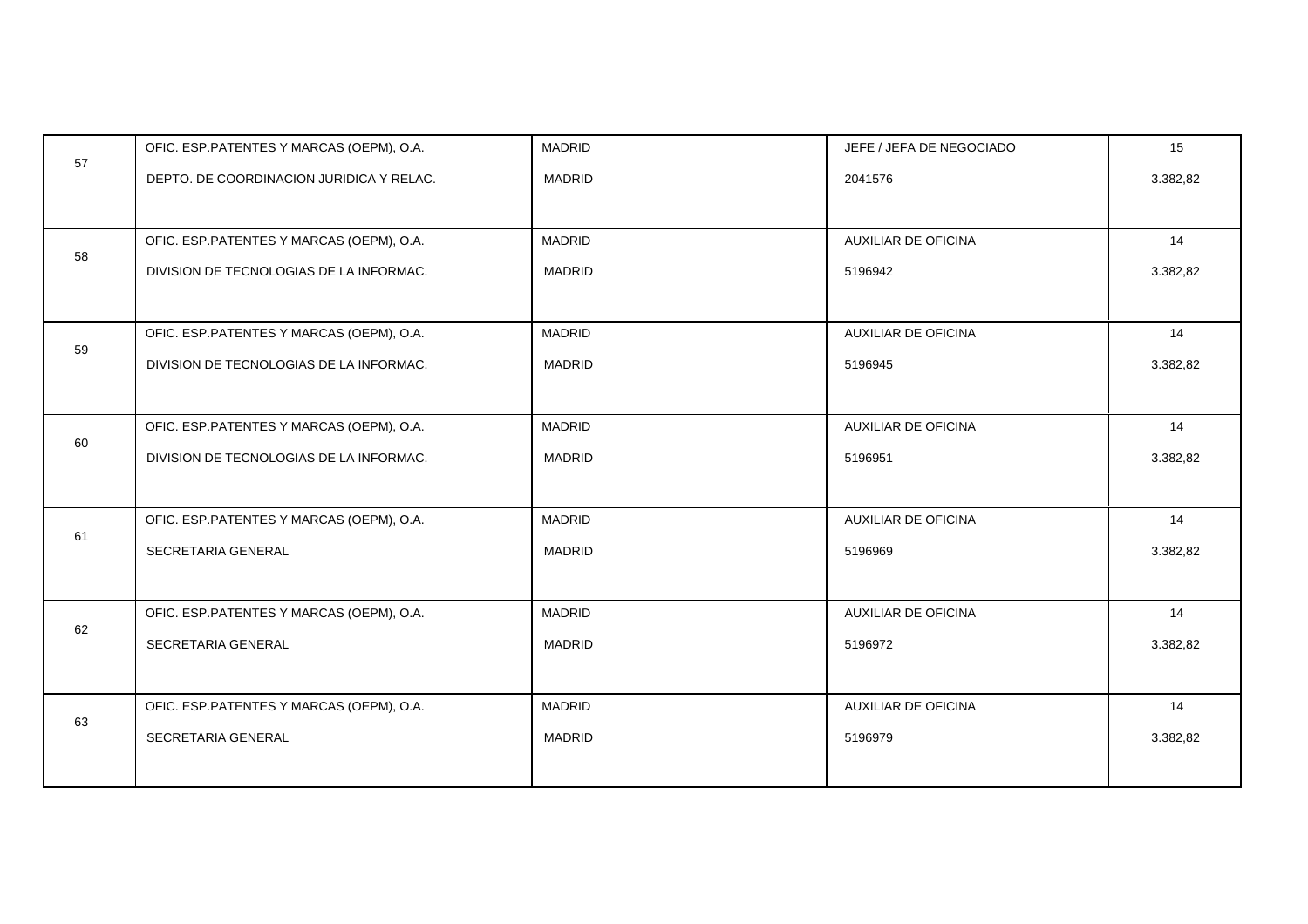|    | OFIC. ESP.PATENTES Y MARCAS (OEPM), O.A. | <b>MADRID</b> | JEFE / JEFA DE NEGOCIADO   | 15       |
|----|------------------------------------------|---------------|----------------------------|----------|
| 57 | DEPTO. DE COORDINACION JURIDICA Y RELAC. | <b>MADRID</b> | 2041576                    | 3.382,82 |
|    |                                          |               |                            |          |
|    | OFIC. ESP.PATENTES Y MARCAS (OEPM), O.A. | <b>MADRID</b> | <b>AUXILIAR DE OFICINA</b> | 14       |
| 58 | DIVISION DE TECNOLOGIAS DE LA INFORMAC.  | <b>MADRID</b> | 5196942                    | 3.382,82 |
|    |                                          |               |                            |          |
|    | OFIC. ESP.PATENTES Y MARCAS (OEPM), O.A. | <b>MADRID</b> | <b>AUXILIAR DE OFICINA</b> | 14       |
| 59 | DIVISION DE TECNOLOGIAS DE LA INFORMAC.  | <b>MADRID</b> | 5196945                    | 3.382,82 |
|    |                                          |               |                            |          |
|    | OFIC. ESP.PATENTES Y MARCAS (OEPM), O.A. | <b>MADRID</b> | <b>AUXILIAR DE OFICINA</b> | 14       |
| 60 | DIVISION DE TECNOLOGIAS DE LA INFORMAC.  | <b>MADRID</b> | 5196951                    | 3.382,82 |
|    |                                          |               |                            |          |
|    | OFIC. ESP.PATENTES Y MARCAS (OEPM), O.A. | <b>MADRID</b> | <b>AUXILIAR DE OFICINA</b> | 14       |
| 61 | SECRETARIA GENERAL                       | <b>MADRID</b> | 5196969                    | 3.382,82 |
|    |                                          |               |                            |          |
|    | OFIC. ESP.PATENTES Y MARCAS (OEPM), O.A. | <b>MADRID</b> | AUXILIAR DE OFICINA        | 14       |
| 62 | SECRETARIA GENERAL                       | <b>MADRID</b> | 5196972                    | 3.382,82 |
|    |                                          |               |                            |          |
|    | OFIC. ESP.PATENTES Y MARCAS (OEPM), O.A. | <b>MADRID</b> | <b>AUXILIAR DE OFICINA</b> | 14       |
| 63 | SECRETARIA GENERAL                       | <b>MADRID</b> | 5196979                    | 3.382,82 |
|    |                                          |               |                            |          |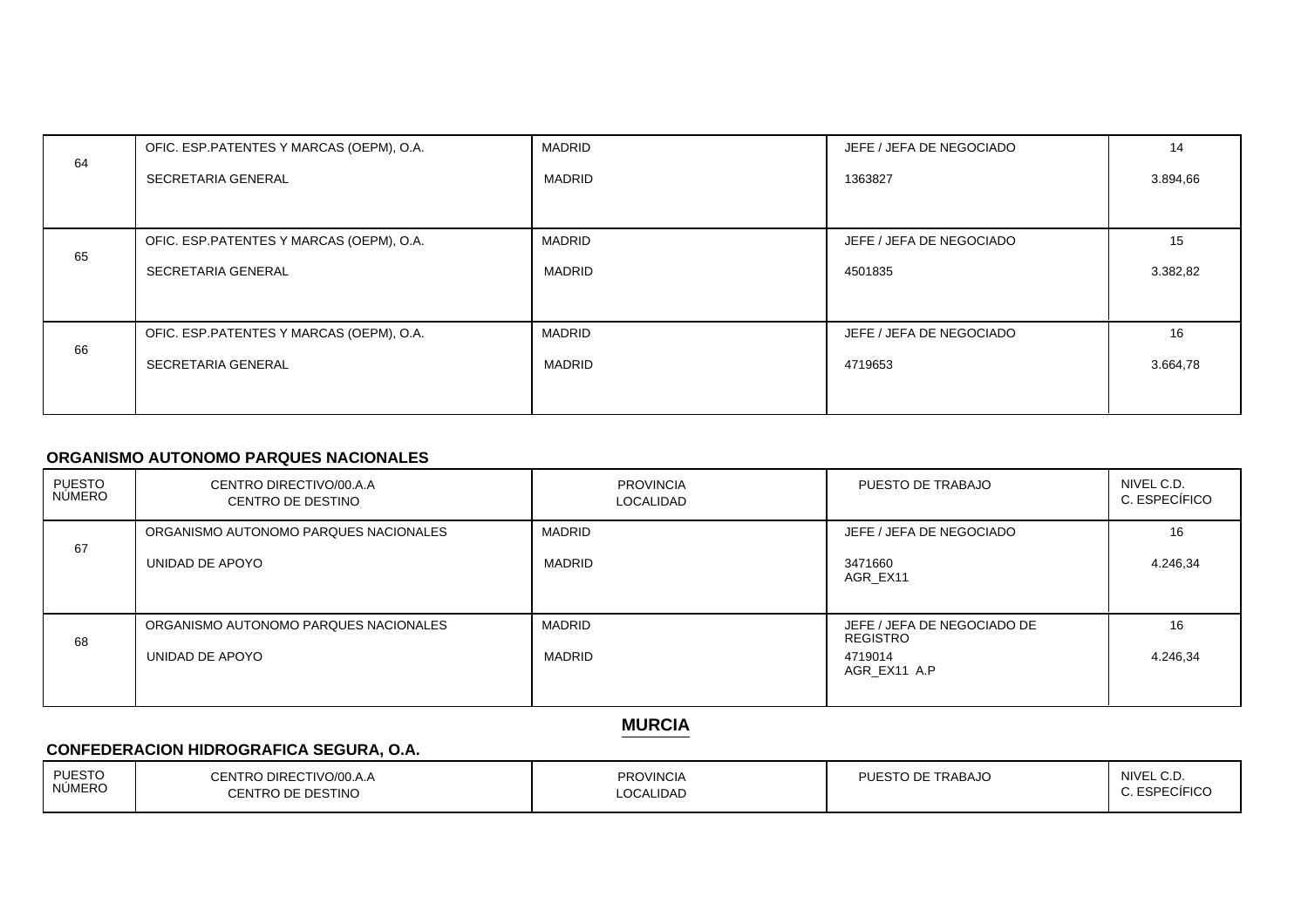|    | OFIC. ESP.PATENTES Y MARCAS (OEPM), O.A.  | <b>MADRID</b> | JEFE / JEFA DE NEGOCIADO | 14       |
|----|-------------------------------------------|---------------|--------------------------|----------|
| 64 | SECRETARIA GENERAL                        | <b>MADRID</b> | 1363827                  | 3.894,66 |
|    |                                           |               |                          |          |
| 65 | OFIC. ESP. PATENTES Y MARCAS (OEPM), O.A. | <b>MADRID</b> | JEFE / JEFA DE NEGOCIADO | 15       |
|    | SECRETARIA GENERAL                        | MADRID        | 4501835                  | 3.382,82 |
|    |                                           |               |                          |          |
| 66 | OFIC. ESP. PATENTES Y MARCAS (OEPM), O.A. | <b>MADRID</b> | JEFE / JEFA DE NEGOCIADO | 16       |
|    | SECRETARIA GENERAL                        | <b>MADRID</b> | 4719653                  | 3.664,78 |
|    |                                           |               |                          |          |

### **ORGANISMO AUTONOMO PARQUES NACIONALES**

| <b>PUESTO</b><br>NÚMERO | CENTRO DIRECTIVO/00.A.A<br>CENTRO DE DESTINO | <b>PROVINCIA</b><br><b>LOCALIDAD</b> | PUESTO DE TRABAJO                              | NIVEL C.D.<br>C. ESPECÍFICO |
|-------------------------|----------------------------------------------|--------------------------------------|------------------------------------------------|-----------------------------|
| 67                      | ORGANISMO AUTONOMO PARQUES NACIONALES        | <b>MADRID</b>                        | JEFE / JEFA DE NEGOCIADO                       | 16                          |
|                         | UNIDAD DE APOYO                              | <b>MADRID</b>                        | 3471660<br>AGR EX11                            | 4.246,34                    |
| 68                      | ORGANISMO AUTONOMO PARQUES NACIONALES        | <b>MADRID</b>                        | JEFE / JEFA DE NEGOCIADO DE<br><b>REGISTRO</b> | 16                          |
|                         | UNIDAD DE APOYO                              | <b>MADRID</b>                        | 4719014<br>AGR EX11 A.P                        | 4.246,34                    |

**MURCIA**

# **CONFEDERACION HIDROGRAFICA SEGURA, O.A.**

| <b>PUESTO</b><br>NÚMERO | CENTRO DIRECTIVO/00.A.A<br>ENTRO DE DESTINO | <b>PROVINCIA</b><br><b>OCALIDAD</b> | PUESTO DE TRABAJO | NIVEL C.D.<br>FCIFICC<br><b>FOD</b> |
|-------------------------|---------------------------------------------|-------------------------------------|-------------------|-------------------------------------|
|                         |                                             |                                     |                   |                                     |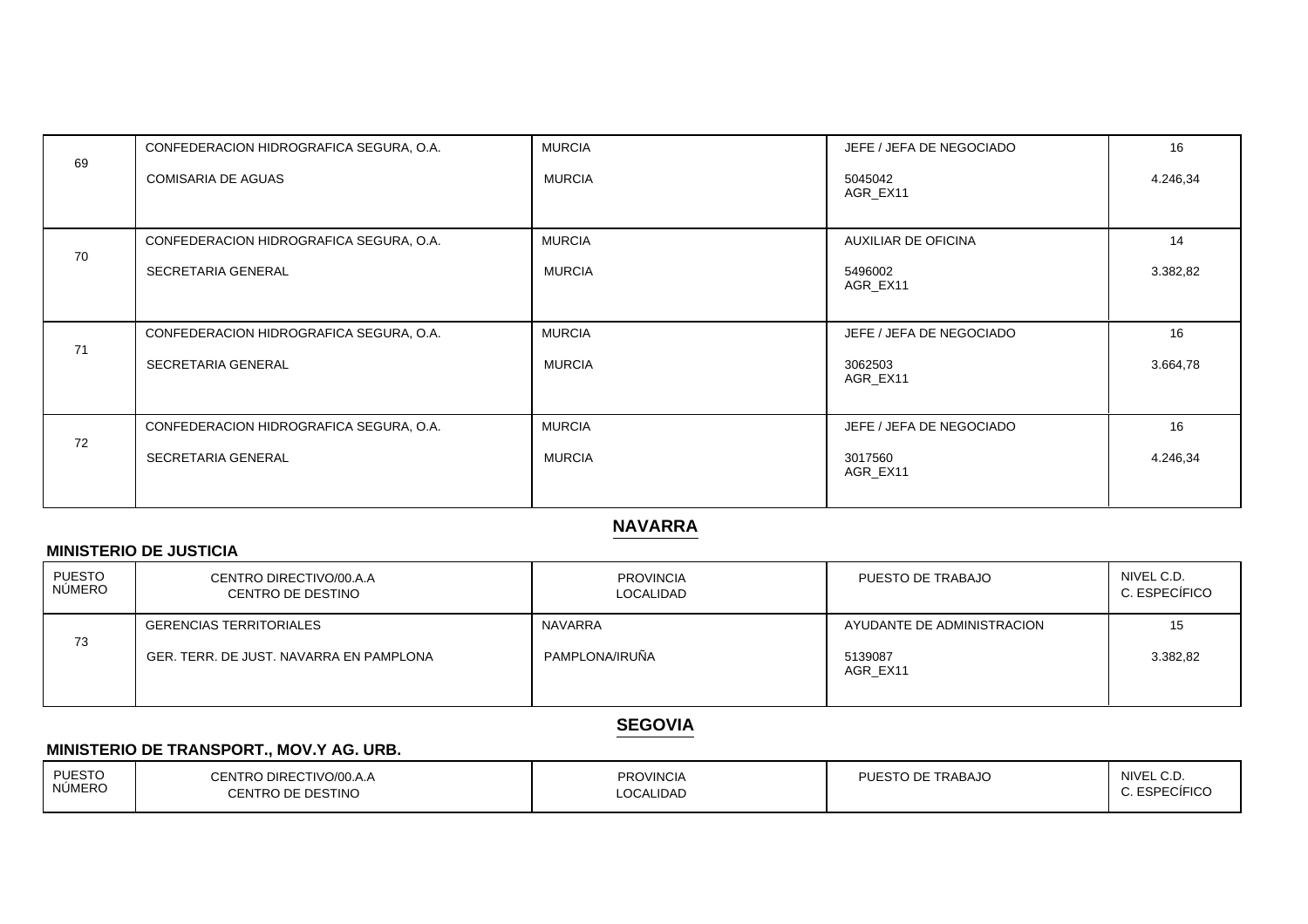|    | CONFEDERACION HIDROGRAFICA SEGURA, O.A. | <b>MURCIA</b> | JEFE / JEFA DE NEGOCIADO | 16       |
|----|-----------------------------------------|---------------|--------------------------|----------|
| 69 | <b>COMISARIA DE AGUAS</b>               | <b>MURCIA</b> | 5045042                  | 4.246,34 |
|    |                                         |               | AGR_EX11                 |          |
|    | CONFEDERACION HIDROGRAFICA SEGURA, O.A. | <b>MURCIA</b> | AUXILIAR DE OFICINA      | 14       |
| 70 | SECRETARIA GENERAL                      | <b>MURCIA</b> | 5496002<br>AGR_EX11      | 3.382,82 |
|    |                                         |               |                          |          |
| 71 | CONFEDERACION HIDROGRAFICA SEGURA, O.A. | <b>MURCIA</b> | JEFE / JEFA DE NEGOCIADO | 16       |
|    | SECRETARIA GENERAL                      | <b>MURCIA</b> | 3062503<br>AGR EX11      | 3.664,78 |
|    |                                         |               |                          |          |
| 72 | CONFEDERACION HIDROGRAFICA SEGURA, O.A. | <b>MURCIA</b> | JEFE / JEFA DE NEGOCIADO | 16       |
|    | SECRETARIA GENERAL                      | <b>MURCIA</b> | 3017560<br>AGR_EX11      | 4.246,34 |
|    |                                         |               |                          |          |

# **NAVARRA**

## **MINISTERIO DE JUSTICIA**

| PUESTO<br>NÚMERO | CENTRO DIRECTIVO/00.A.A<br>CENTRO DE DESTINO | <b>PROVINCIA</b><br>LOCALIDAD | PUESTO DE TRABAJO          | NIVEL C.D.<br>C. ESPECÍFICO |
|------------------|----------------------------------------------|-------------------------------|----------------------------|-----------------------------|
|                  | <b>GERENCIAS TERRITORIALES</b>               | <b>NAVARRA</b>                | AYUDANTE DE ADMINISTRACION | 15                          |
| 73               | GER, TERR, DE JUST, NAVARRA EN PAMPLONA      | PAMPLONA/IRUÑA                | 5139087<br>AGR EX11        | 3.382,82                    |

# **SEGOVIA**

# **MINISTERIO DE TRANSPORT., MOV.Y AG. URB.**

| <b>PUESTO</b><br>NÚMERO | DIRECTIVO/00.A.A<br>CENTRO<br>O DE DESTINO!<br>. | PROVINCIA<br>_OCALIDAD | PUESTO DE TRABAJO | NIVEL C.D<br>concriciro<br>JEIUC<br>-- |
|-------------------------|--------------------------------------------------|------------------------|-------------------|----------------------------------------|
|                         |                                                  |                        |                   |                                        |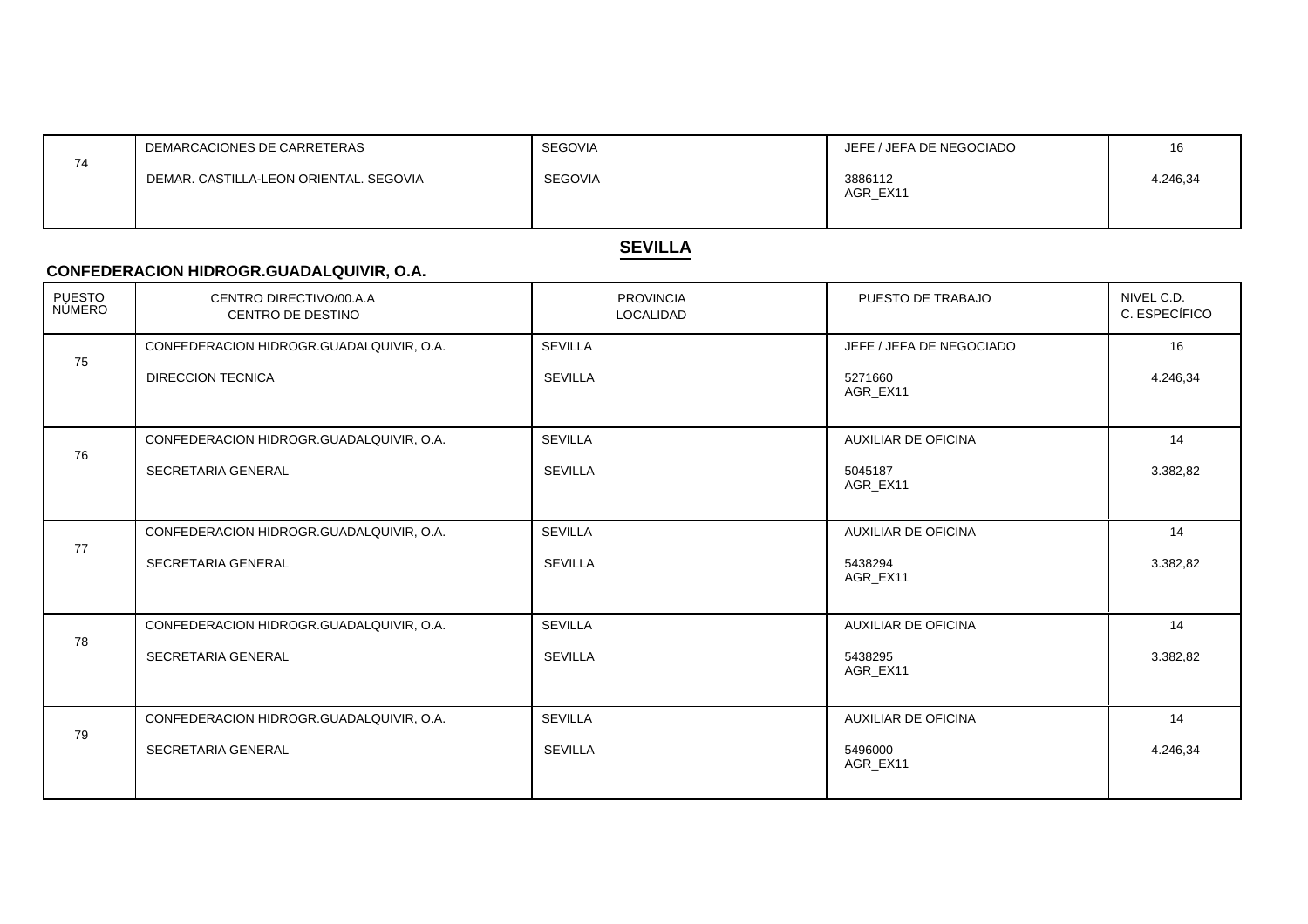|    | DEMARCACIONES DE CARRETERAS            | <b>SEGOVIA</b> | JEFE / JEFA DE NEGOCIADO |          |
|----|----------------------------------------|----------------|--------------------------|----------|
| 74 | DEMAR, CASTILLA-LEON ORIENTAL, SEGOVIA | <b>SEGOVIA</b> | 3886112<br>AGR EX11      | 4.246,34 |
|    |                                        |                |                          |          |

# **SEVILLA**

### **CONFEDERACION HIDROGR.GUADALQUIVIR, O.A.**

| PUESTO<br>NÚMERO | CENTRO DIRECTIVO/00.A.A<br>CENTRO DE DESTINO | <b>PROVINCIA</b><br>LOCALIDAD | PUESTO DE TRABAJO          | NIVEL C.D.<br>C. ESPECÍFICO |
|------------------|----------------------------------------------|-------------------------------|----------------------------|-----------------------------|
|                  | CONFEDERACION HIDROGR.GUADALQUIVIR, O.A.     | <b>SEVILLA</b>                | JEFE / JEFA DE NEGOCIADO   | 16                          |
| 75               | <b>DIRECCION TECNICA</b>                     | <b>SEVILLA</b>                | 5271660<br>AGR EX11        | 4.246,34                    |
|                  | CONFEDERACION HIDROGR.GUADALQUIVIR, O.A.     | <b>SEVILLA</b>                | <b>AUXILIAR DE OFICINA</b> | 14                          |
| 76               | <b>SECRETARIA GENERAL</b>                    | <b>SEVILLA</b>                | 5045187<br>AGR EX11        | 3.382,82                    |
|                  | CONFEDERACION HIDROGR.GUADALQUIVIR, O.A.     | <b>SEVILLA</b>                | <b>AUXILIAR DE OFICINA</b> | 14                          |
| 77               | SECRETARIA GENERAL                           | <b>SEVILLA</b>                | 5438294<br>AGR EX11        | 3.382,82                    |
|                  | CONFEDERACION HIDROGR.GUADALQUIVIR, O.A.     | <b>SEVILLA</b>                | <b>AUXILIAR DE OFICINA</b> | 14                          |
| 78               | <b>SECRETARIA GENERAL</b>                    | <b>SEVILLA</b>                | 5438295<br>AGR EX11        | 3.382,82                    |
|                  | CONFEDERACION HIDROGR.GUADALQUIVIR, O.A.     | <b>SEVILLA</b>                | <b>AUXILIAR DE OFICINA</b> | 14                          |
| 79               | SECRETARIA GENERAL                           | <b>SEVILLA</b>                | 5496000<br>AGR EX11        | 4.246,34                    |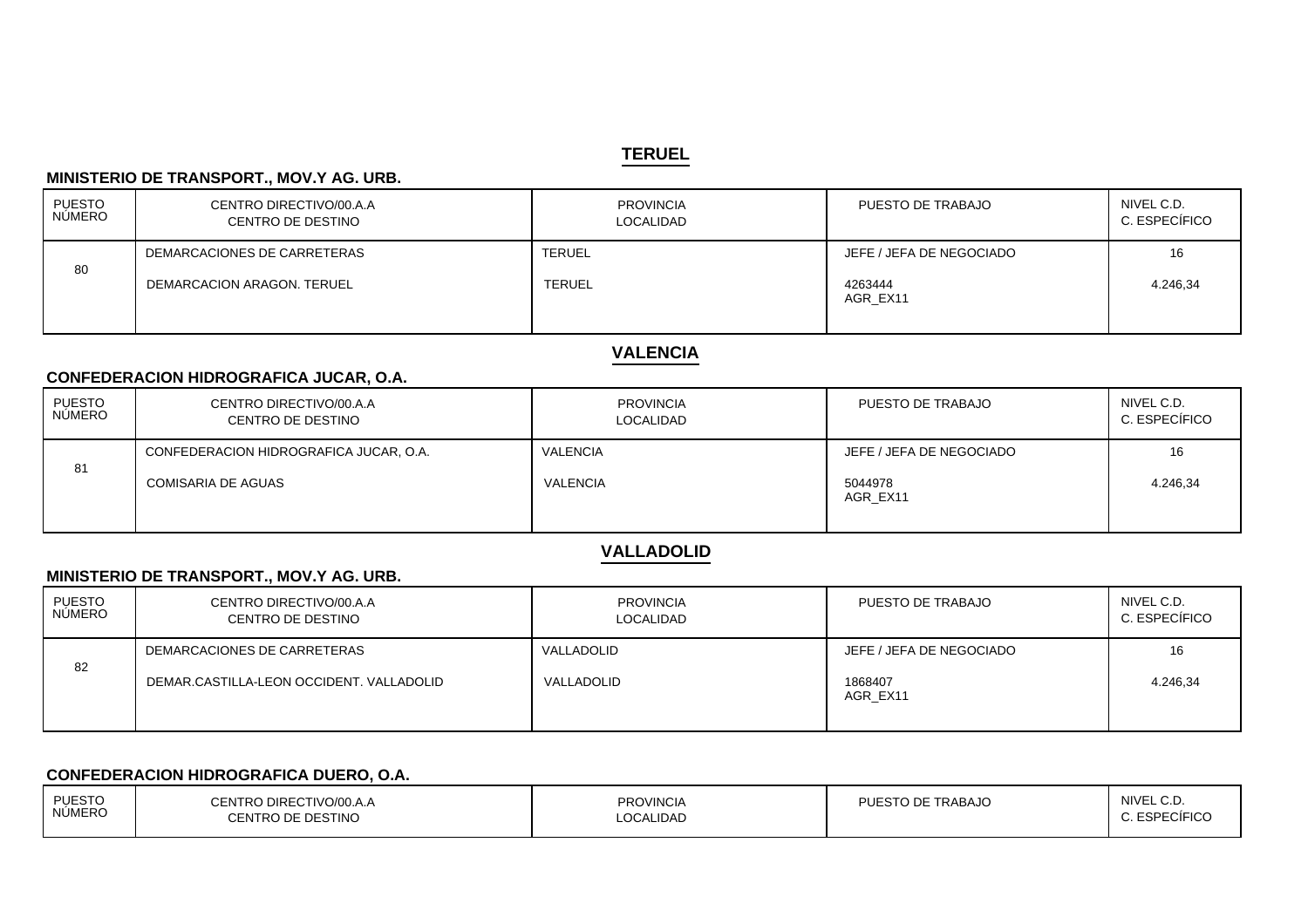#### **TERUEL**

### **MINISTERIO DE TRANSPORT., MOV.Y AG. URB.**

| PUESTO<br>  NÚMERO | CENTRO DIRECTIVO/00.A.A<br>CENTRO DE DESTINO | <b>PROVINCIA</b><br><b>LOCALIDAD</b> | PUESTO DE TRABAJO        | NIVEL C.D.<br>C. ESPECÍFICO |
|--------------------|----------------------------------------------|--------------------------------------|--------------------------|-----------------------------|
|                    | DEMARCACIONES DE CARRETERAS                  | <b>TERUEL</b>                        | JEFE / JEFA DE NEGOCIADO | 16                          |
| 80                 | DEMARCACION ARAGON, TERUEL                   | <b>TERUEL</b>                        | 4263444<br>AGR EX11      | 4.246.34                    |

# **VALENCIA**

### **CONFEDERACION HIDROGRAFICA JUCAR, O.A.**

| PUESTO<br>NÚMERO | CENTRO DIRECTIVO/00.A.A<br>CENTRO DE DESTINO | <b>PROVINCIA</b><br>LOCALIDAD | PUESTO DE TRABAJO        | NIVEL C.D.<br>C. ESPECÍFICO |
|------------------|----------------------------------------------|-------------------------------|--------------------------|-----------------------------|
|                  | CONFEDERACION HIDROGRAFICA JUCAR, O.A.       | VALENCIA                      | JEFE / JEFA DE NEGOCIADO | 16                          |
| 81               | COMISARIA DE AGUAS                           | VALENCIA                      | 5044978<br>AGR EX11      | 4.246,34                    |

# **VALLADOLID**

### **MINISTERIO DE TRANSPORT., MOV.Y AG. URB.**

| <b>PUESTO</b><br>NÚMERO | CENTRO DIRECTIVO/00.A.A<br>CENTRO DE DESTINO | <b>PROVINCIA</b><br><b>LOCALIDAD</b> | PUESTO DE TRABAJO        | NIVEL C.D.<br>C. ESPECÍFICO |
|-------------------------|----------------------------------------------|--------------------------------------|--------------------------|-----------------------------|
|                         | DEMARCACIONES DE CARRETERAS                  | VALLADOLID                           | JEFE / JEFA DE NEGOCIADO | 16                          |
| 82                      | DEMAR.CASTILLA-LEON OCCIDENT, VALLADOLID     | VALLADOLID                           | 1868407<br>AGR EX11      | 4.246,34                    |

### **CONFEDERACION HIDROGRAFICA DUERO, O.A.**

| <b>PUESTO</b> | CENTRO DIRECTIVO/00.A.A | <b>PROVINCIA</b> | PUESTO DE TRABAJO | NIVEL C.D.    |
|---------------|-------------------------|------------------|-------------------|---------------|
| <b>NÚMERO</b> | CENTRO DE DESTINO       | LOCALIDAD        |                   | C. ESPECÍFICO |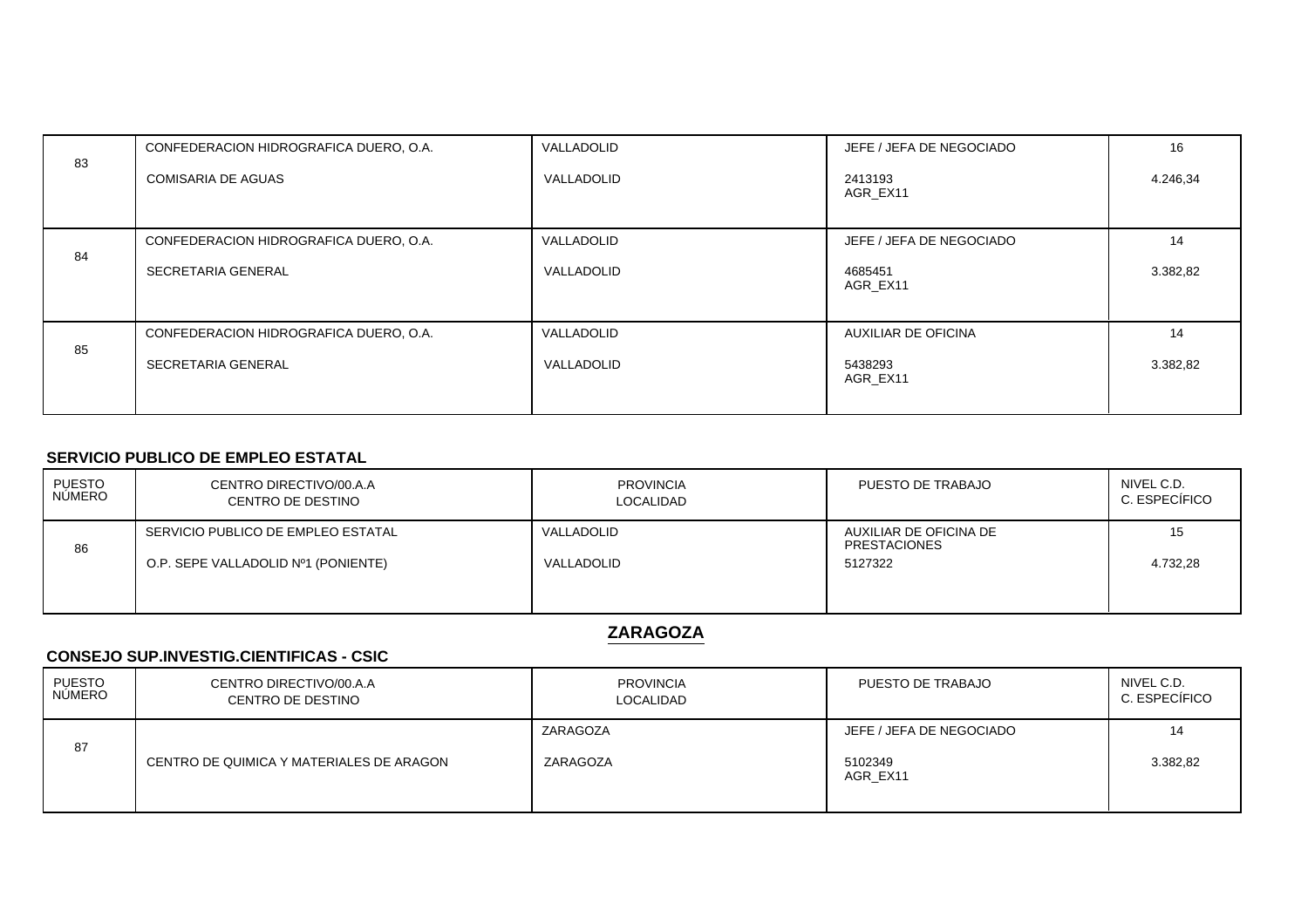| 83 | CONFEDERACION HIDROGRAFICA DUERO, O.A. | VALLADOLID | JEFE / JEFA DE NEGOCIADO | 16       |
|----|----------------------------------------|------------|--------------------------|----------|
|    | <b>COMISARIA DE AGUAS</b>              | VALLADOLID | 2413193<br>AGR EX11      | 4.246,34 |
|    |                                        |            |                          |          |
| 84 | CONFEDERACION HIDROGRAFICA DUERO, O.A. | VALLADOLID | JEFE / JEFA DE NEGOCIADO | 14       |
|    | SECRETARIA GENERAL                     | VALLADOLID | 4685451<br>AGR EX11      | 3.382,82 |
| 85 | CONFEDERACION HIDROGRAFICA DUERO, O.A. | VALLADOLID | AUXILIAR DE OFICINA      | 14       |
|    | SECRETARIA GENERAL                     | VALLADOLID | 5438293<br>AGR EX11      | 3.382,82 |
|    |                                        |            |                          |          |

#### **SERVICIO PUBLICO DE EMPLEO ESTATAL**

| PUESTO<br>NÚMERO | CENTRO DIRECTIVO/00.A.A<br>CENTRO DE DESTINO | <b>PROVINCIA</b><br>LOCALIDAD | PUESTO DE TRABAJO                             | NIVEL C.D.<br>C. ESPECÍFICO |
|------------------|----------------------------------------------|-------------------------------|-----------------------------------------------|-----------------------------|
| 86               | SERVICIO PUBLICO DE EMPLEO ESTATAL           | VALLADOLID                    | AUXILIAR DE OFICINA DE<br><b>PRESTACIONES</b> | 15                          |
|                  | O.P. SEPE VALLADOLID Nº1 (PONIENTE)          | VALLADOLID                    | 5127322                                       | 4.732,28                    |
|                  |                                              |                               |                                               |                             |

**ZARAGOZA**

### **CONSEJO SUP.INVESTIG.CIENTIFICAS - CSIC**

| <b>PUESTO</b><br><b>NÚMERO</b> | CENTRO DIRECTIVO/00.A.A<br>CENTRO DE DESTINO | <b>PROVINCIA</b><br>LOCALIDAD | PUESTO DE TRABAJO                   | NIVEL C.D.<br>C. ESPECÍFICO |
|--------------------------------|----------------------------------------------|-------------------------------|-------------------------------------|-----------------------------|
| 87                             | CENTRO DE QUIMICA Y MATERIALES DE ARAGON     | ZARAGOZA<br>ZARAGOZA          | JEFE / JEFA DE NEGOCIADO<br>5102349 | 14<br>3.382,82              |
|                                |                                              |                               | AGR EX11                            |                             |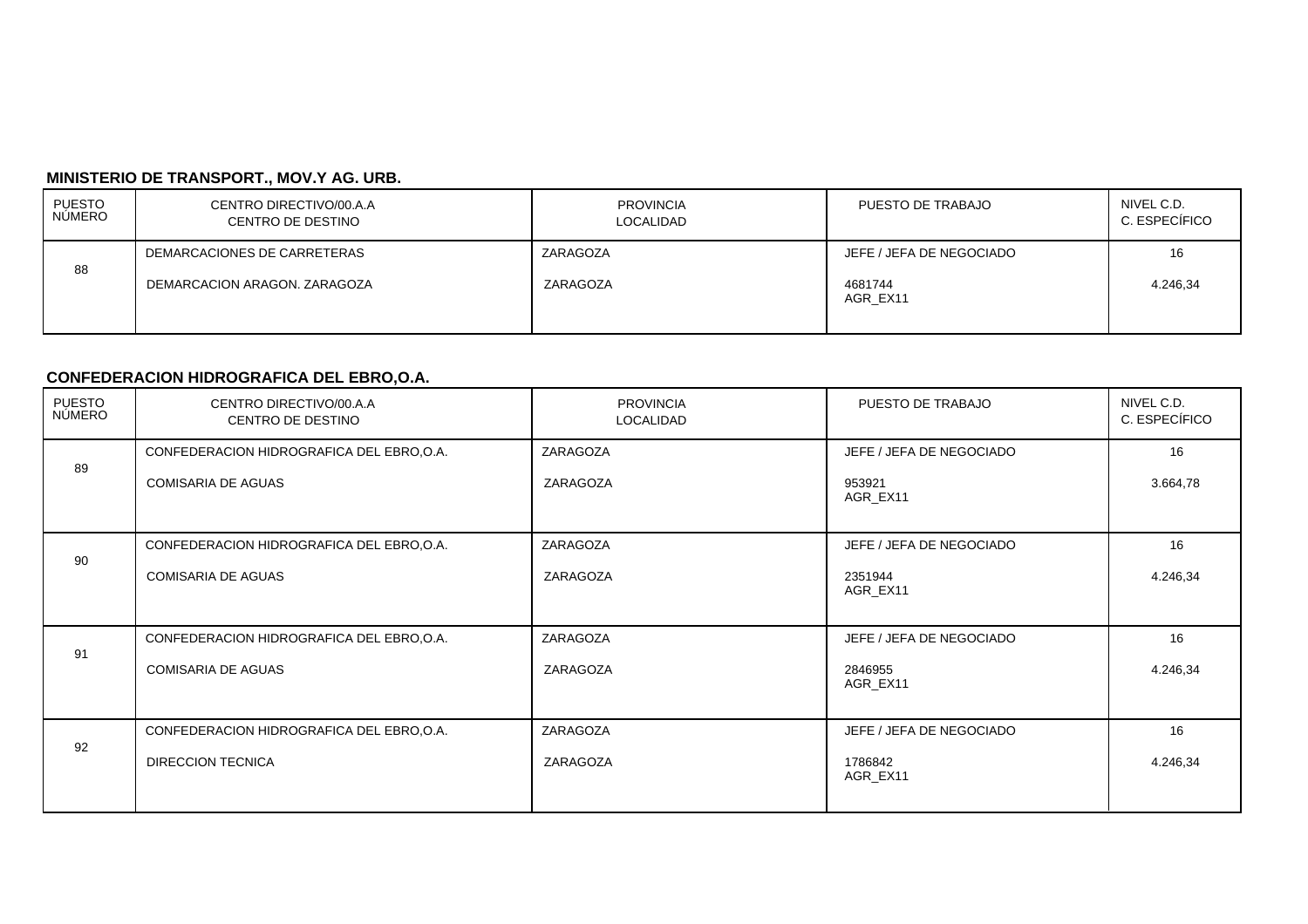# **MINISTERIO DE TRANSPORT., MOV.Y AG. URB.**

| PUESTO<br>NÚMERO | CENTRO DIRECTIVO/00.A.A<br><b>CENTRO DE DESTINO</b> | <b>PROVINCIA</b><br>LOCALIDAD | PUESTO DE TRABAJO        | NIVEL C.D.<br>C. ESPECÍFICO |
|------------------|-----------------------------------------------------|-------------------------------|--------------------------|-----------------------------|
|                  | DEMARCACIONES DE CARRETERAS                         | ZARAGOZA                      | JEFE / JEFA DE NEGOCIADO | 16                          |
| 88               | DEMARCACION ARAGON, ZARAGOZA                        | ZARAGOZA                      | 4681744<br>AGR EX11      | 4.246,34                    |

# **CONFEDERACION HIDROGRAFICA DEL EBRO,O.A.**

| PUESTO<br>NÚMERO | CENTRO DIRECTIVO/00.A.A<br>CENTRO DE DESTINO | <b>PROVINCIA</b><br>LOCALIDAD | PUESTO DE TRABAJO        | NIVEL C.D.<br>C. ESPECÍFICO |
|------------------|----------------------------------------------|-------------------------------|--------------------------|-----------------------------|
| 89               | CONFEDERACION HIDROGRAFICA DEL EBRO, O.A.    | ZARAGOZA                      | JEFE / JEFA DE NEGOCIADO | 16                          |
|                  | <b>COMISARIA DE AGUAS</b>                    | ZARAGOZA                      | 953921<br>AGR_EX11       | 3.664,78                    |
|                  | CONFEDERACION HIDROGRAFICA DEL EBRO, O.A.    | ZARAGOZA                      | JEFE / JEFA DE NEGOCIADO | 16                          |
| 90               | <b>COMISARIA DE AGUAS</b>                    | ZARAGOZA                      | 2351944<br>AGR_EX11      | 4.246,34                    |
| 91               | CONFEDERACION HIDROGRAFICA DEL EBRO, O.A.    | ZARAGOZA                      | JEFE / JEFA DE NEGOCIADO | 16                          |
|                  | <b>COMISARIA DE AGUAS</b>                    | ZARAGOZA                      | 2846955<br>AGR_EX11      | 4.246,34                    |
|                  | CONFEDERACION HIDROGRAFICA DEL EBRO, O.A.    | ZARAGOZA                      | JEFE / JEFA DE NEGOCIADO | 16                          |
| 92               | <b>DIRECCION TECNICA</b>                     | ZARAGOZA                      | 1786842<br>AGR_EX11      | 4.246,34                    |